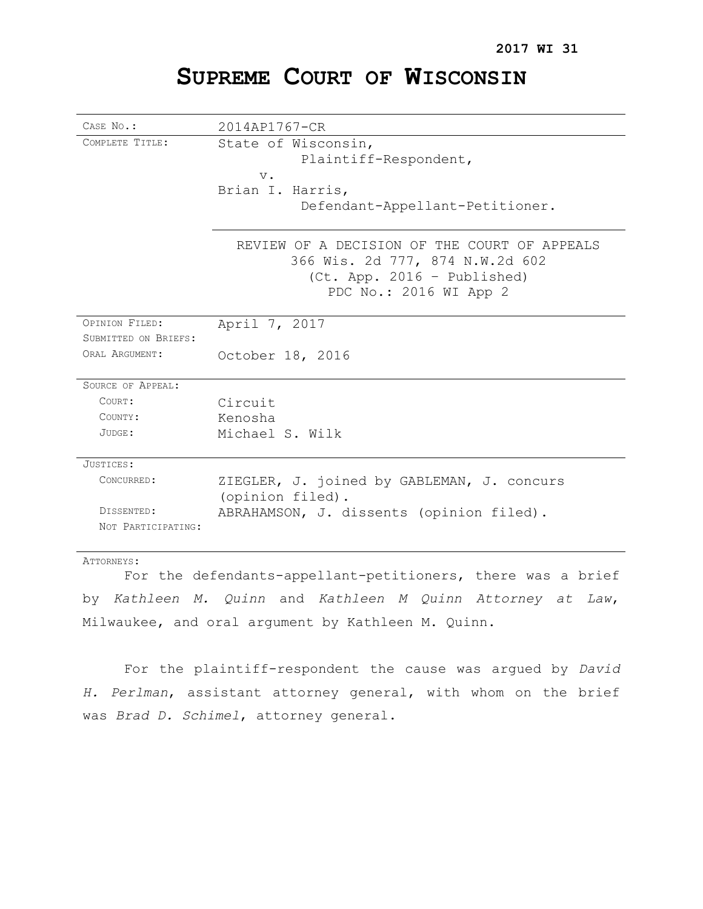# **SUPREME COURT OF WISCONSIN**

| CASE No.:            | 2014AP1767-CR                                                                                                                            |
|----------------------|------------------------------------------------------------------------------------------------------------------------------------------|
| COMPLETE TITLE:      | State of Wisconsin,<br>Plaintiff-Respondent,<br>$V$ .                                                                                    |
|                      | Brian I. Harris,<br>Defendant-Appellant-Petitioner.                                                                                      |
|                      | REVIEW OF A DECISION OF THE COURT OF APPEALS<br>366 Wis. 2d 777, 874 N.W.2d 602<br>(Ct. App. 2016 - Published)<br>PDC No.: 2016 WI App 2 |
| OPINION FILED:       | April 7, 2017                                                                                                                            |
| SUBMITTED ON BRIEFS: |                                                                                                                                          |
| ORAL ARGUMENT:       | October 18, 2016                                                                                                                         |
| SOURCE OF APPEAL:    |                                                                                                                                          |
| COURT:               | Circuit                                                                                                                                  |
| COUNTY:              | Kenosha                                                                                                                                  |
| $JUDGE$ :            | Michael S. Wilk                                                                                                                          |
| JUSTICES:            |                                                                                                                                          |
| CONCURRED:           | ZIEGLER, J. joined by GABLEMAN, J. concurs<br>(opinion filed).                                                                           |
| DISSENTED:           | ABRAHAMSON, J. dissents (opinion filed).                                                                                                 |
| NOT PARTICIPATING:   |                                                                                                                                          |
| ATTORNEYS:           |                                                                                                                                          |

For the defendants-appellant-petitioners, there was a brief by *Kathleen M. Quinn* and *Kathleen M Quinn Attorney at Law*, Milwaukee, and oral argument by Kathleen M. Quinn.

For the plaintiff-respondent the cause was argued by *David H. Perlman*, assistant attorney general, with whom on the brief was *Brad D. Schimel*, attorney general.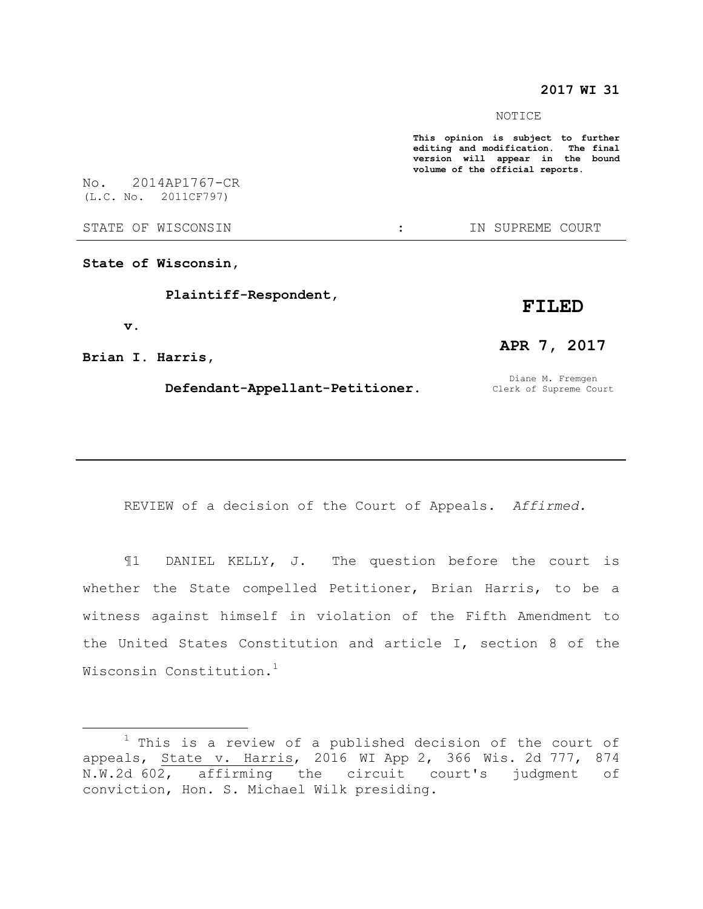## **2017 WI 31**

#### NOTICE

**This opinion is subject to further editing and modification. The final version will appear in the bound volume of the official reports.** 

No. 2014AP1767-CR (L.C. No. 2011CF797)

STATE OF WISCONSIN THE STATE OF WISCONSIN THE STATE OF STATE OF STATE OF STATE OF STATE OF STATE OF STATE OF STATE OF STATE OF STATE OF STATE OF STATE OF STATE OF STATE OF STATE OF STATE OF STATE OF STATE OF STATE OF STATE

**State of Wisconsin,**

 **Plaintiff-Respondent,**

## **FILED**

**Brian I. Harris,**

 **v.**

 $\overline{a}$ 

#### **Defendant-Appellant-Petitioner.**

Diane M. Fremgen Clerk of Supreme Court

**APR 7, 2017**

REVIEW of a decision of the Court of Appeals. *Affirmed.*

¶1 DANIEL KELLY, J. The question before the court is whether the State compelled Petitioner, Brian Harris, to be a witness against himself in violation of the Fifth Amendment to the United States Constitution and article I, section 8 of the Wisconsin Constitution.<sup>1</sup>

 $1$  This is a review of a published decision of the court of appeals, State v. Harris, 2016 WI App 2, 366 Wis. 2d 777, 874 N.W.2d 602, affirming the circuit court's judgment of conviction, Hon. S. Michael Wilk presiding.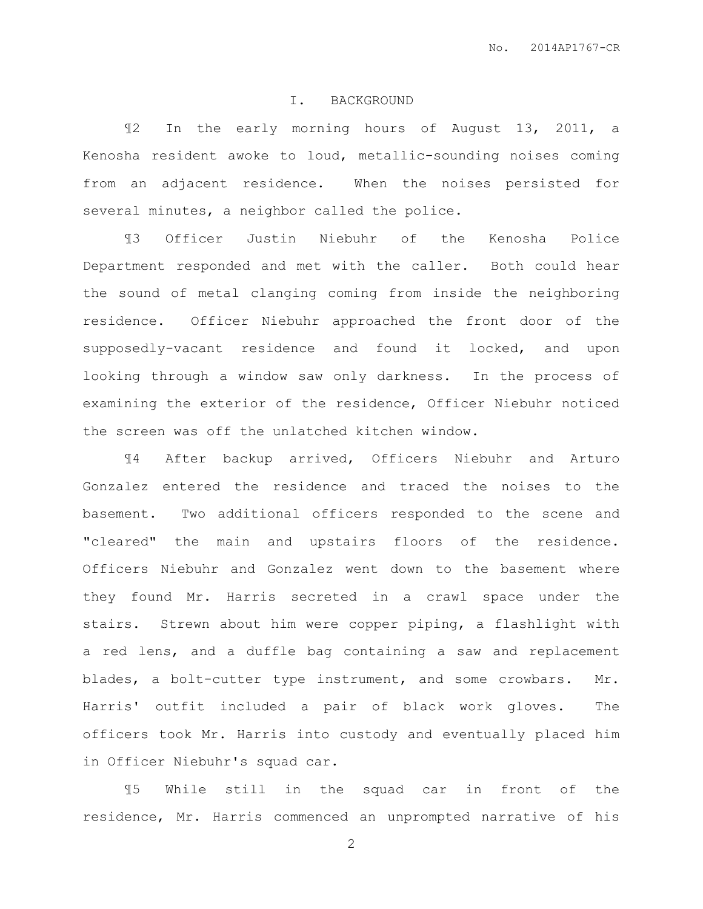### I. BACKGROUND

¶2 In the early morning hours of August 13, 2011, a Kenosha resident awoke to loud, metallic-sounding noises coming from an adjacent residence. When the noises persisted for several minutes, a neighbor called the police.

¶3 Officer Justin Niebuhr of the Kenosha Police Department responded and met with the caller. Both could hear the sound of metal clanging coming from inside the neighboring residence. Officer Niebuhr approached the front door of the supposedly-vacant residence and found it locked, and upon looking through a window saw only darkness. In the process of examining the exterior of the residence, Officer Niebuhr noticed the screen was off the unlatched kitchen window.

¶4 After backup arrived, Officers Niebuhr and Arturo Gonzalez entered the residence and traced the noises to the basement. Two additional officers responded to the scene and "cleared" the main and upstairs floors of the residence. Officers Niebuhr and Gonzalez went down to the basement where they found Mr. Harris secreted in a crawl space under the stairs. Strewn about him were copper piping, a flashlight with a red lens, and a duffle bag containing a saw and replacement blades, a bolt-cutter type instrument, and some crowbars. Mr. Harris' outfit included a pair of black work gloves. The officers took Mr. Harris into custody and eventually placed him in Officer Niebuhr's squad car.

¶5 While still in the squad car in front of the residence, Mr. Harris commenced an unprompted narrative of his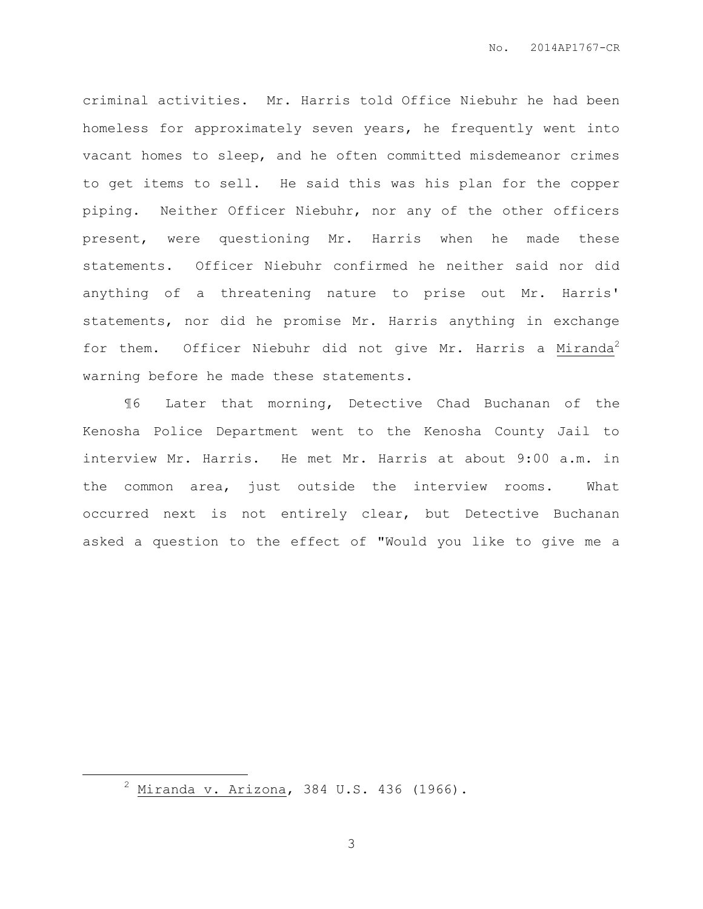criminal activities. Mr. Harris told Office Niebuhr he had been homeless for approximately seven years, he frequently went into vacant homes to sleep, and he often committed misdemeanor crimes to get items to sell. He said this was his plan for the copper piping. Neither Officer Niebuhr, nor any of the other officers present, were questioning Mr. Harris when he made these statements. Officer Niebuhr confirmed he neither said nor did anything of a threatening nature to prise out Mr. Harris' statements, nor did he promise Mr. Harris anything in exchange for them. Officer Niebuhr did not give Mr. Harris a Miranda<sup>2</sup> warning before he made these statements.

¶6 Later that morning, Detective Chad Buchanan of the Kenosha Police Department went to the Kenosha County Jail to interview Mr. Harris. He met Mr. Harris at about 9:00 a.m. in the common area, just outside the interview rooms. What occurred next is not entirely clear, but Detective Buchanan asked a question to the effect of "Would you like to give me a

 $\overline{a}$ 

 $2 \text{ Miranda v. Arizona}$ , 384 U.S. 436 (1966).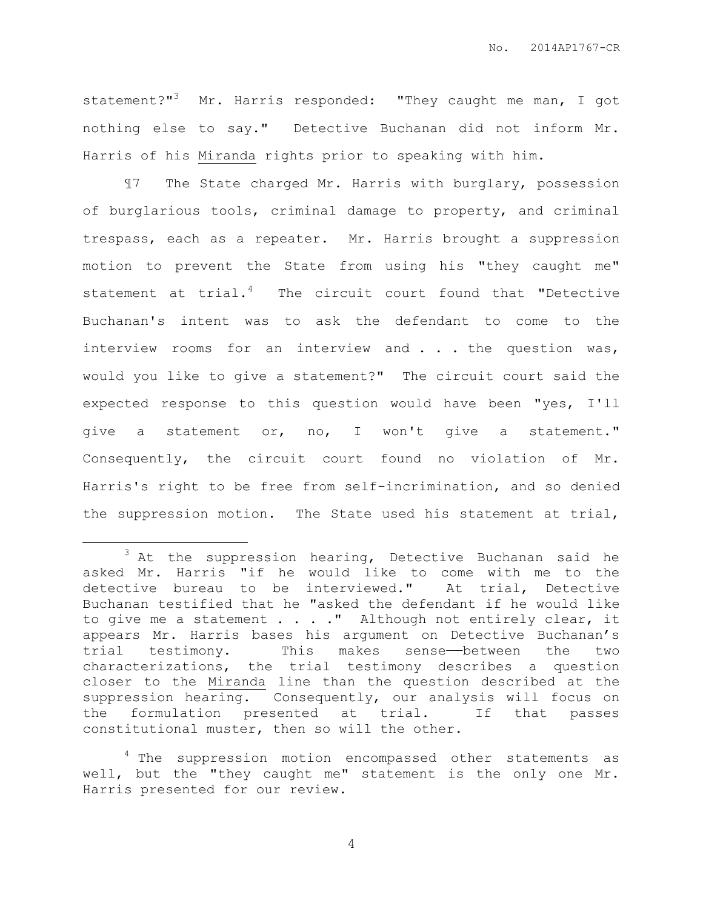statement?"<sup>3</sup> Mr. Harris responded: "They caught me man, I got nothing else to say." Detective Buchanan did not inform Mr. Harris of his Miranda rights prior to speaking with him.

¶7 The State charged Mr. Harris with burglary, possession of burglarious tools, criminal damage to property, and criminal trespass, each as a repeater. Mr. Harris brought a suppression motion to prevent the State from using his "they caught me" statement at  $trial.^4$  The circuit court found that "Detective Buchanan's intent was to ask the defendant to come to the interview rooms for an interview and . . . the question was, would you like to give a statement?" The circuit court said the expected response to this question would have been "yes, I'll give a statement or, no, I won't give a statement." Consequently, the circuit court found no violation of Mr. Harris's right to be free from self-incrimination, and so denied the suppression motion. The State used his statement at trial,

 $\overline{a}$ 

 $3$  At the suppression hearing, Detective Buchanan said he asked Mr. Harris "if he would like to come with me to the detective bureau to be interviewed." At trial, Detective Buchanan testified that he "asked the defendant if he would like to give me a statement  $\ldots$  . . " Although not entirely clear, it appears Mr. Harris bases his argument on Detective Buchanan's trial testimony. This makes sense-between the two characterizations, the trial testimony describes a question closer to the Miranda line than the question described at the suppression hearing. Consequently, our analysis will focus on the formulation presented at trial. If that passes constitutional muster, then so will the other.

<sup>&</sup>lt;sup>4</sup> The suppression motion encompassed other statements as well, but the "they caught me" statement is the only one Mr. Harris presented for our review.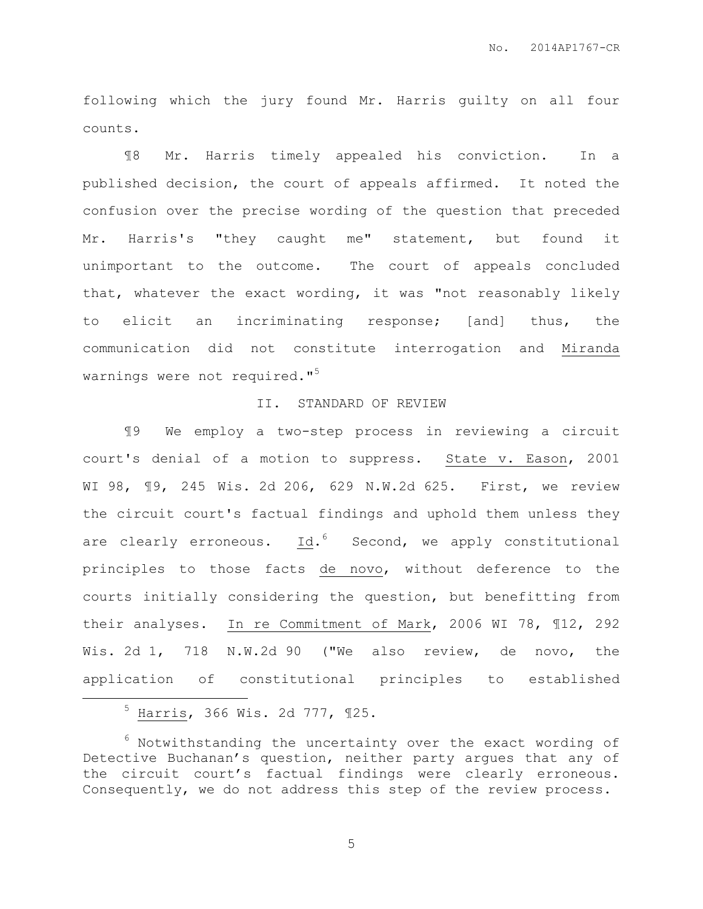following which the jury found Mr. Harris guilty on all four counts.

¶8 Mr. Harris timely appealed his conviction. In a published decision, the court of appeals affirmed. It noted the confusion over the precise wording of the question that preceded Mr. Harris's "they caught me" statement, but found it unimportant to the outcome. The court of appeals concluded that, whatever the exact wording, it was "not reasonably likely to elicit an incriminating response; [and] thus, the communication did not constitute interrogation and Miranda warnings were not required."<sup>5</sup>

### II. STANDARD OF REVIEW

¶9 We employ a two-step process in reviewing a circuit court's denial of a motion to suppress. State v. Eason, 2001 WI 98, ¶9, 245 Wis. 2d 206, 629 N.W.2d 625. First, we review the circuit court's factual findings and uphold them unless they are clearly erroneous. Id.<sup>6</sup> Second, we apply constitutional principles to those facts de novo, without deference to the courts initially considering the question, but benefitting from their analyses. In re Commitment of Mark, 2006 WI 78, ¶12, 292 Wis. 2d 1, 718 N.W.2d 90 ("We also review, de novo, the application of constitutional principles to established

 $\overline{a}$ 

 $6$  Notwithstanding the uncertainty over the exact wording of Detective Buchanan's question, neither party argues that any of the circuit court's factual findings were clearly erroneous. Consequently, we do not address this step of the review process.

<sup>5</sup> Harris, 366 Wis. 2d 777, ¶25.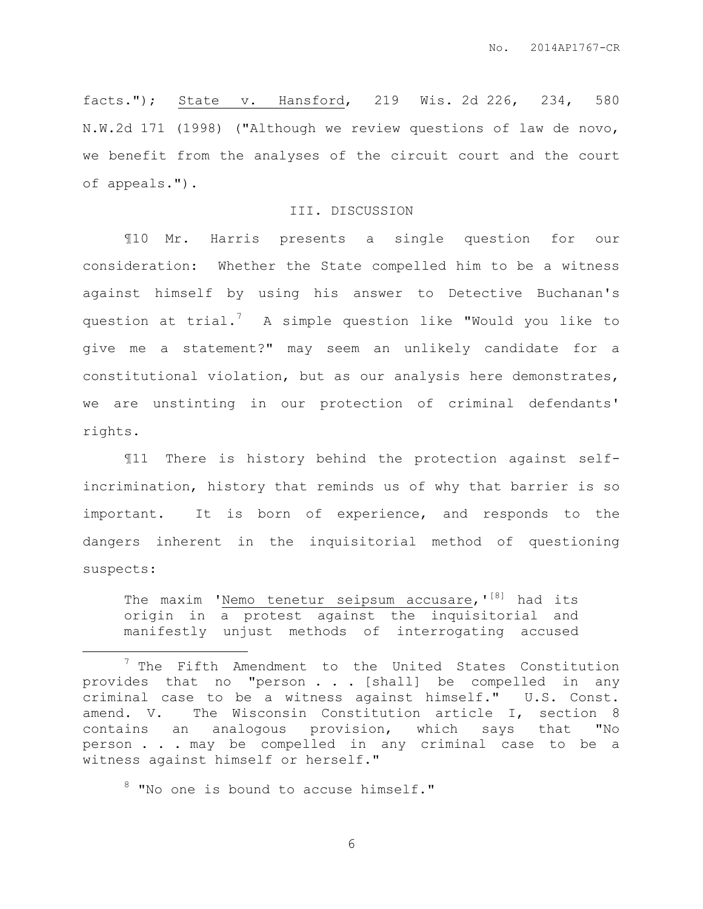facts."); State v. Hansford, 219 Wis. 2d 226, 234, 580 N.W.2d 171 (1998) ("Although we review questions of law de novo, we benefit from the analyses of the circuit court and the court of appeals.").

### III. DISCUSSION

¶10 Mr. Harris presents a single question for our consideration: Whether the State compelled him to be a witness against himself by using his answer to Detective Buchanan's question at trial.<sup>7</sup> A simple question like "Would you like to give me a statement?" may seem an unlikely candidate for a constitutional violation, but as our analysis here demonstrates, we are unstinting in our protection of criminal defendants' rights.

¶11 There is history behind the protection against selfincrimination, history that reminds us of why that barrier is so important. It is born of experience, and responds to the dangers inherent in the inquisitorial method of questioning suspects:

The maxim 'Nemo tenetur seipsum accusare,'<sup>[8]</sup> had its origin in a protest against the inquisitorial and manifestly unjust methods of interrogating accused

<sup>8</sup> "No one is bound to accuse himself."

 $\overline{a}$ 

 $7$  The Fifth Amendment to the United States Constitution provides that no "person . . . [shall] be compelled in any criminal case to be a witness against himself." U.S. Const. amend. V. The Wisconsin Constitution article I, section 8 contains an analogous provision, which says that "No person . . . may be compelled in any criminal case to be a witness against himself or herself."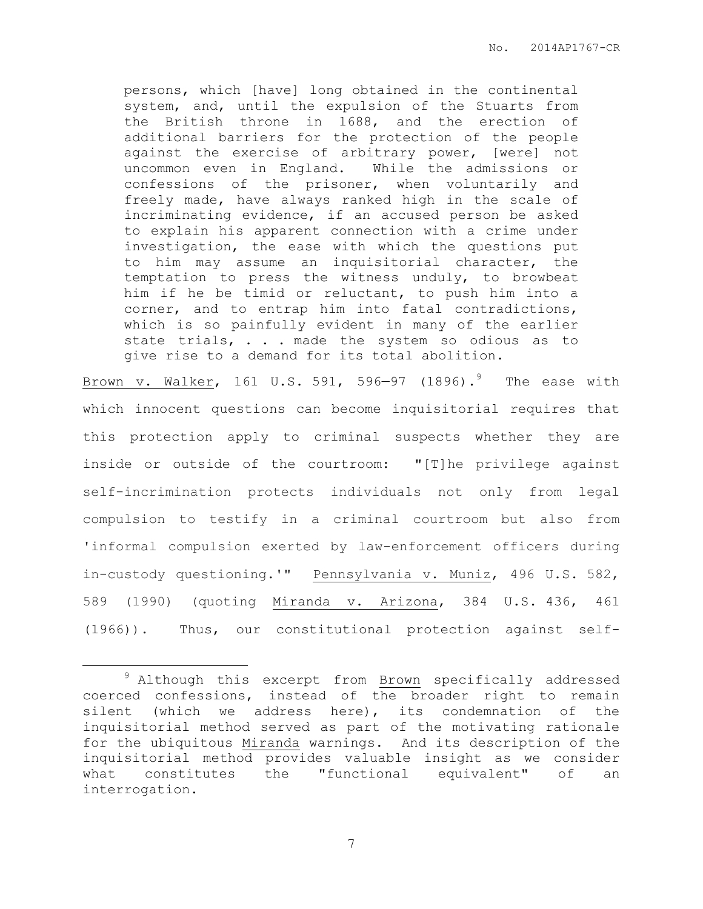persons, which [have] long obtained in the continental system, and, until the expulsion of the Stuarts from the British throne in 1688, and the erection of additional barriers for the protection of the people against the exercise of arbitrary power, [were] not uncommon even in England. While the admissions or confessions of the prisoner, when voluntarily and freely made, have always ranked high in the scale of incriminating evidence, if an accused person be asked to explain his apparent connection with a crime under investigation, the ease with which the questions put to him may assume an inquisitorial character, the temptation to press the witness unduly, to browbeat him if he be timid or reluctant, to push him into a corner, and to entrap him into fatal contradictions, which is so painfully evident in many of the earlier state trials, . . . made the system so odious as to give rise to a demand for its total abolition.

Brown v. Walker, 161 U.S. 591, 596-97 (1896). $^9$  The ease with which innocent questions can become inquisitorial requires that this protection apply to criminal suspects whether they are inside or outside of the courtroom: "[T]he privilege against self-incrimination protects individuals not only from legal compulsion to testify in a criminal courtroom but also from 'informal compulsion exerted by law-enforcement officers during in-custody questioning.'" Pennsylvania v. Muniz, 496 U.S. 582, 589 (1990) (quoting Miranda v. Arizona, 384 U.S. 436, 461 (1966)). Thus, our constitutional protection against self-

 $\overline{a}$ 

<sup>&</sup>lt;sup>9</sup> Although this excerpt from Brown specifically addressed coerced confessions, instead of the broader right to remain silent (which we address here), its condemnation of the inquisitorial method served as part of the motivating rationale for the ubiquitous Miranda warnings. And its description of the inquisitorial method provides valuable insight as we consider what constitutes the "functional equivalent" of an interrogation.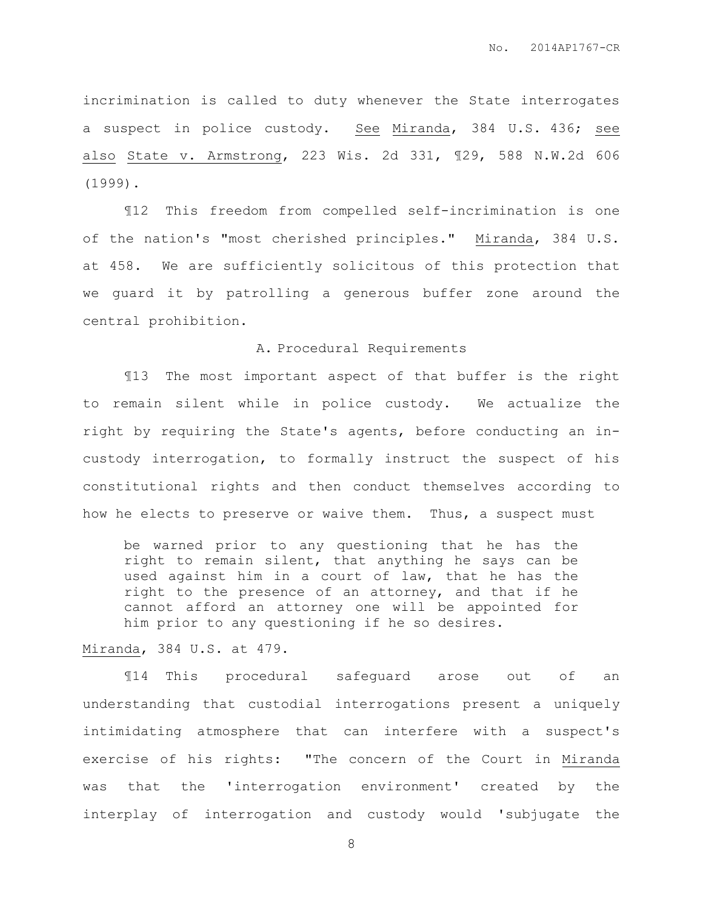incrimination is called to duty whenever the State interrogates a suspect in police custody. See Miranda, 384 U.S. 436; see also State v. Armstrong, 223 Wis. 2d 331, ¶29, 588 N.W.2d 606 (1999).

¶12 This freedom from compelled self-incrimination is one of the nation's "most cherished principles." Miranda, 384 U.S. at 458. We are sufficiently solicitous of this protection that we guard it by patrolling a generous buffer zone around the central prohibition.

#### A. Procedural Requirements

¶13 The most important aspect of that buffer is the right to remain silent while in police custody. We actualize the right by requiring the State's agents, before conducting an incustody interrogation, to formally instruct the suspect of his constitutional rights and then conduct themselves according to how he elects to preserve or waive them. Thus, a suspect must

be warned prior to any questioning that he has the right to remain silent, that anything he says can be used against him in a court of law, that he has the right to the presence of an attorney, and that if he cannot afford an attorney one will be appointed for him prior to any questioning if he so desires.

## Miranda, 384 U.S. at 479.

¶14 This procedural safeguard arose out of an understanding that custodial interrogations present a uniquely intimidating atmosphere that can interfere with a suspect's exercise of his rights: "The concern of the Court in Miranda was that the 'interrogation environment' created by the interplay of interrogation and custody would 'subjugate the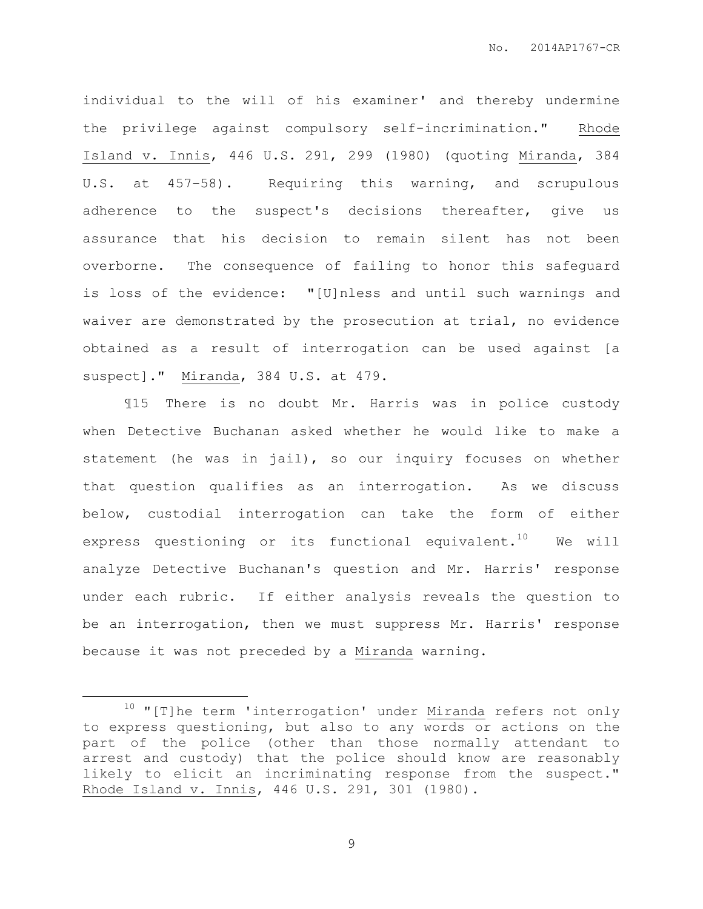individual to the will of his examiner' and thereby undermine the privilege against compulsory self-incrimination." Rhode Island v. Innis, 446 U.S. 291, 299 (1980) (quoting Miranda, 384 U.S. at 457–58). Requiring this warning, and scrupulous adherence to the suspect's decisions thereafter, give us assurance that his decision to remain silent has not been overborne. The consequence of failing to honor this safeguard is loss of the evidence: "[U]nless and until such warnings and waiver are demonstrated by the prosecution at trial, no evidence obtained as a result of interrogation can be used against [a suspect]." Miranda, 384 U.S. at 479.

¶15 There is no doubt Mr. Harris was in police custody when Detective Buchanan asked whether he would like to make a statement (he was in jail), so our inquiry focuses on whether that question qualifies as an interrogation. As we discuss below, custodial interrogation can take the form of either express questioning or its functional equivalent.<sup>10</sup> We will analyze Detective Buchanan's question and Mr. Harris' response under each rubric. If either analysis reveals the question to be an interrogation, then we must suppress Mr. Harris' response because it was not preceded by a Miranda warning.

 $\overline{a}$ 

 $10$  "[T]he term 'interrogation' under Miranda refers not only to express questioning, but also to any words or actions on the part of the police (other than those normally attendant to arrest and custody) that the police should know are reasonably likely to elicit an incriminating response from the suspect." Rhode Island v. Innis, 446 U.S. 291, 301 (1980).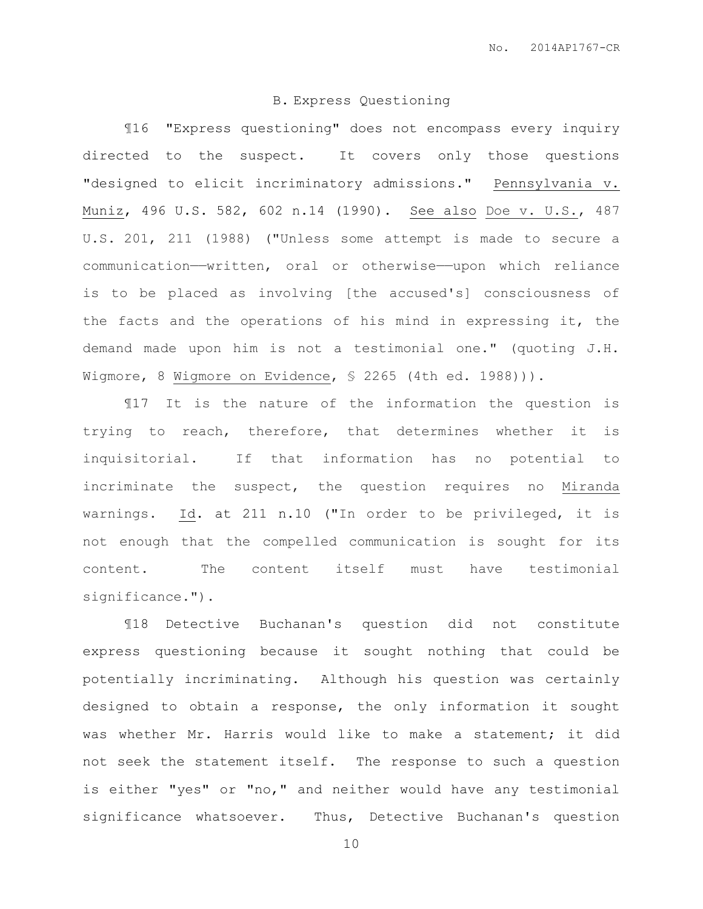## B. Express Questioning

¶16 "Express questioning" does not encompass every inquiry directed to the suspect. It covers only those questions "designed to elicit incriminatory admissions." Pennsylvania v. Muniz, 496 U.S. 582, 602 n.14 (1990). See also Doe v. U.S., 487 U.S. 201, 211 (1988) ("Unless some attempt is made to secure a communication——written, oral or otherwise——upon which reliance is to be placed as involving [the accused's] consciousness of the facts and the operations of his mind in expressing it, the demand made upon him is not a testimonial one." (quoting J.H. Wigmore, 8 Wigmore on Evidence, § 2265 (4th ed. 1988))).

¶17 It is the nature of the information the question is trying to reach, therefore, that determines whether it is inquisitorial. If that information has no potential to incriminate the suspect, the question requires no Miranda warnings. Id. at 211 n.10 ("In order to be privileged, it is not enough that the compelled communication is sought for its content. The content itself must have testimonial significance.").

¶18 Detective Buchanan's question did not constitute express questioning because it sought nothing that could be potentially incriminating. Although his question was certainly designed to obtain a response, the only information it sought was whether Mr. Harris would like to make a statement; it did not seek the statement itself. The response to such a question is either "yes" or "no," and neither would have any testimonial significance whatsoever. Thus, Detective Buchanan's question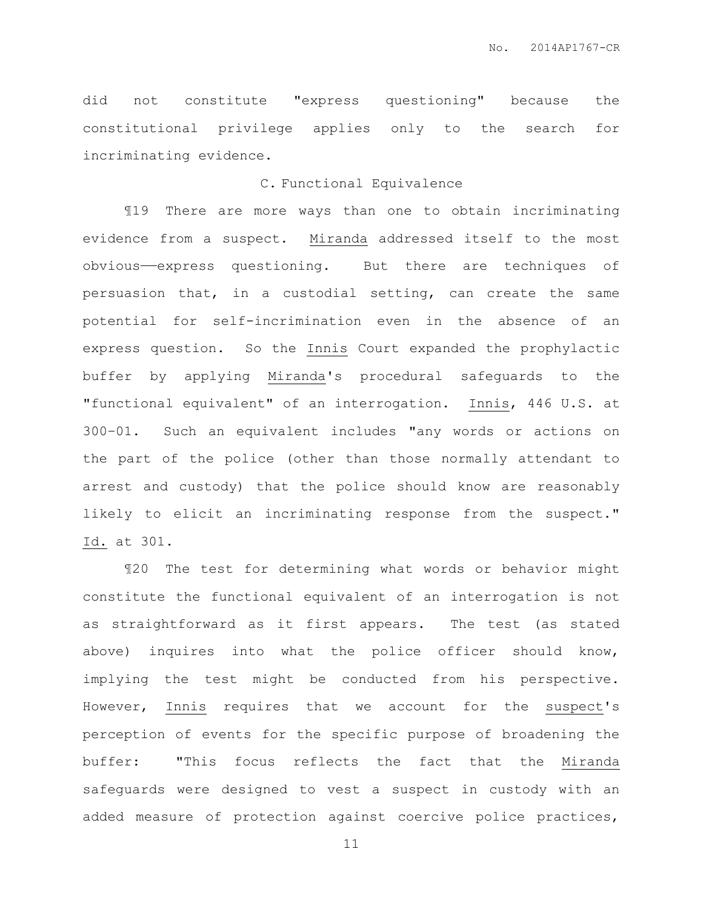did not constitute "express questioning" because the constitutional privilege applies only to the search for incriminating evidence.

## C. Functional Equivalence

¶19 There are more ways than one to obtain incriminating evidence from a suspect. Miranda addressed itself to the most obvious——express questioning. But there are techniques of persuasion that, in a custodial setting, can create the same potential for self-incrimination even in the absence of an express question. So the Innis Court expanded the prophylactic buffer by applying Miranda's procedural safeguards to the "functional equivalent" of an interrogation. Innis, 446 U.S. at 300–01. Such an equivalent includes "any words or actions on the part of the police (other than those normally attendant to arrest and custody) that the police should know are reasonably likely to elicit an incriminating response from the suspect." Id. at 301.

¶20 The test for determining what words or behavior might constitute the functional equivalent of an interrogation is not as straightforward as it first appears. The test (as stated above) inquires into what the police officer should know, implying the test might be conducted from his perspective. However, Innis requires that we account for the suspect's perception of events for the specific purpose of broadening the buffer: "This focus reflects the fact that the Miranda safeguards were designed to vest a suspect in custody with an added measure of protection against coercive police practices,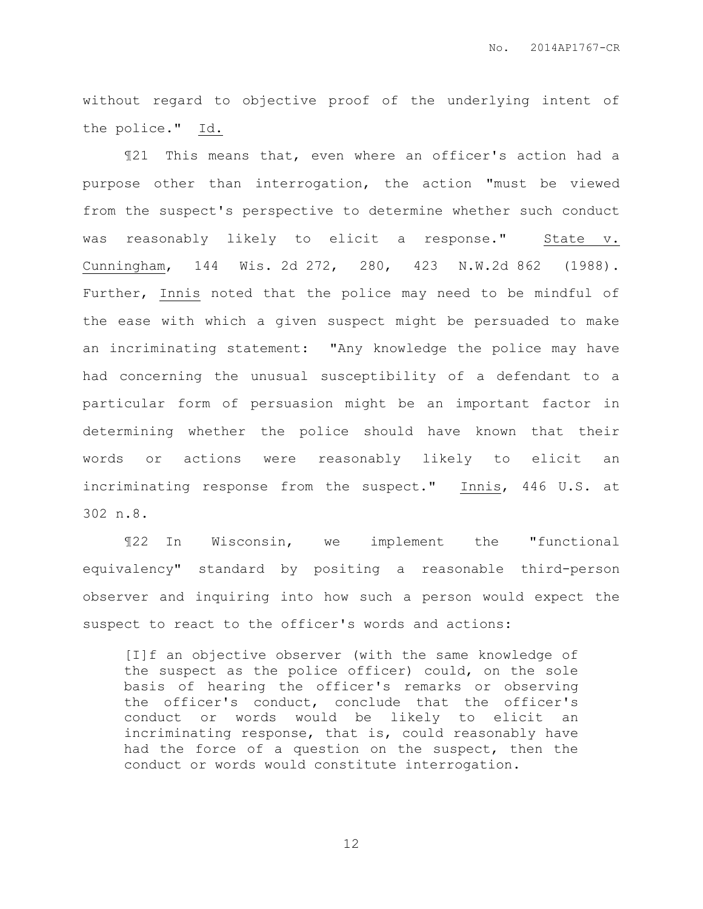without regard to objective proof of the underlying intent of the police." Id.

¶21 This means that, even where an officer's action had a purpose other than interrogation, the action "must be viewed from the suspect's perspective to determine whether such conduct was reasonably likely to elicit a response." State v. Cunningham, 144 Wis. 2d 272, 280, 423 N.W.2d 862 (1988). Further, Innis noted that the police may need to be mindful of the ease with which a given suspect might be persuaded to make an incriminating statement: "Any knowledge the police may have had concerning the unusual susceptibility of a defendant to a particular form of persuasion might be an important factor in determining whether the police should have known that their words or actions were reasonably likely to elicit an incriminating response from the suspect." Innis, 446 U.S. at 302 n.8.

¶22 In Wisconsin, we implement the "functional equivalency" standard by positing a reasonable third-person observer and inquiring into how such a person would expect the suspect to react to the officer's words and actions:

[I]f an objective observer (with the same knowledge of the suspect as the police officer) could, on the sole basis of hearing the officer's remarks or observing the officer's conduct, conclude that the officer's conduct or words would be likely to elicit an incriminating response, that is, could reasonably have had the force of a question on the suspect, then the conduct or words would constitute interrogation.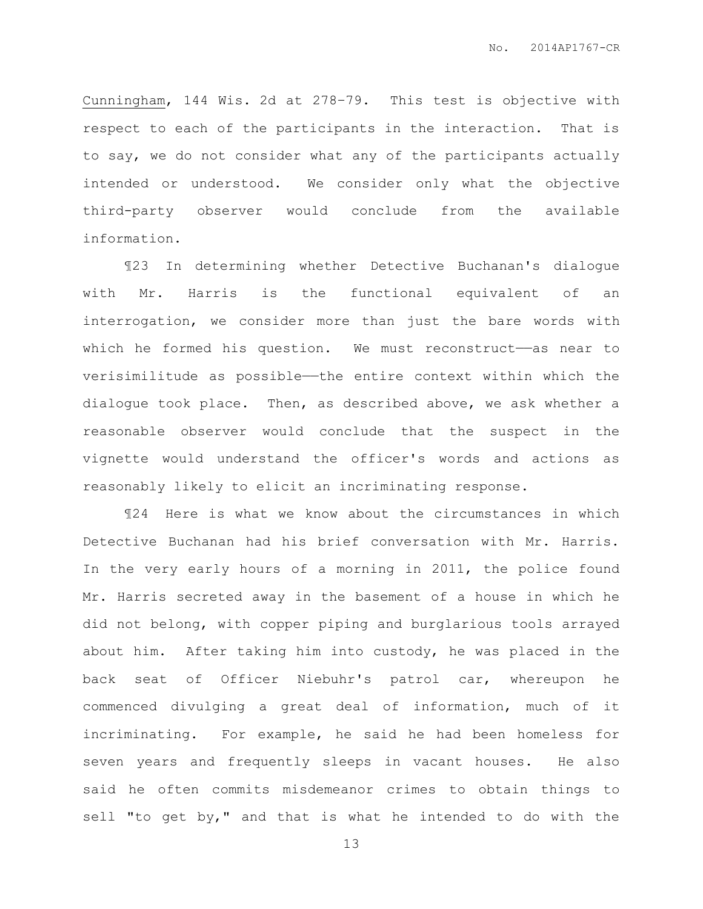Cunningham, 144 Wis. 2d at 278–79. This test is objective with respect to each of the participants in the interaction. That is to say, we do not consider what any of the participants actually intended or understood. We consider only what the objective third-party observer would conclude from the available information.

¶23 In determining whether Detective Buchanan's dialogue with Mr. Harris is the functional equivalent of an interrogation, we consider more than just the bare words with which he formed his question. We must reconstruct—as near to verisimilitude as possible——the entire context within which the dialogue took place. Then, as described above, we ask whether a reasonable observer would conclude that the suspect in the vignette would understand the officer's words and actions as reasonably likely to elicit an incriminating response.

¶24 Here is what we know about the circumstances in which Detective Buchanan had his brief conversation with Mr. Harris. In the very early hours of a morning in 2011, the police found Mr. Harris secreted away in the basement of a house in which he did not belong, with copper piping and burglarious tools arrayed about him. After taking him into custody, he was placed in the back seat of Officer Niebuhr's patrol car, whereupon he commenced divulging a great deal of information, much of it incriminating. For example, he said he had been homeless for seven years and frequently sleeps in vacant houses. He also said he often commits misdemeanor crimes to obtain things to sell "to get by," and that is what he intended to do with the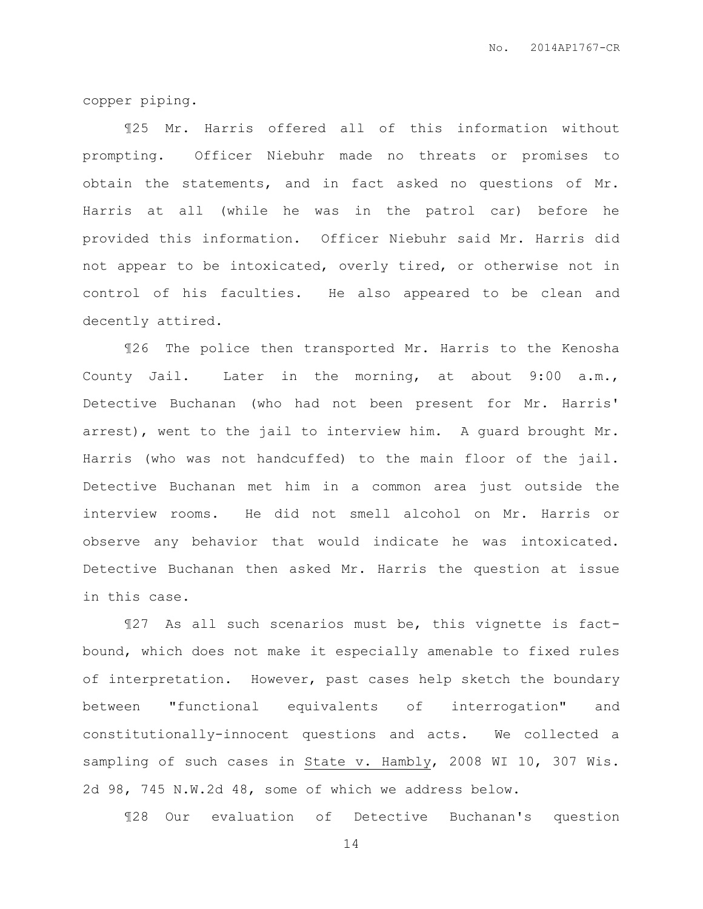copper piping.

¶25 Mr. Harris offered all of this information without prompting. Officer Niebuhr made no threats or promises to obtain the statements, and in fact asked no questions of Mr. Harris at all (while he was in the patrol car) before he provided this information. Officer Niebuhr said Mr. Harris did not appear to be intoxicated, overly tired, or otherwise not in control of his faculties. He also appeared to be clean and decently attired.

¶26 The police then transported Mr. Harris to the Kenosha County Jail. Later in the morning, at about 9:00 a.m., Detective Buchanan (who had not been present for Mr. Harris' arrest), went to the jail to interview him. A guard brought Mr. Harris (who was not handcuffed) to the main floor of the jail. Detective Buchanan met him in a common area just outside the interview rooms. He did not smell alcohol on Mr. Harris or observe any behavior that would indicate he was intoxicated. Detective Buchanan then asked Mr. Harris the question at issue in this case.

¶27 As all such scenarios must be, this vignette is factbound, which does not make it especially amenable to fixed rules of interpretation. However, past cases help sketch the boundary between "functional equivalents of interrogation" and constitutionally-innocent questions and acts. We collected a sampling of such cases in State v. Hambly, 2008 WI 10, 307 Wis. 2d 98, 745 N.W.2d 48, some of which we address below.

¶28 Our evaluation of Detective Buchanan's question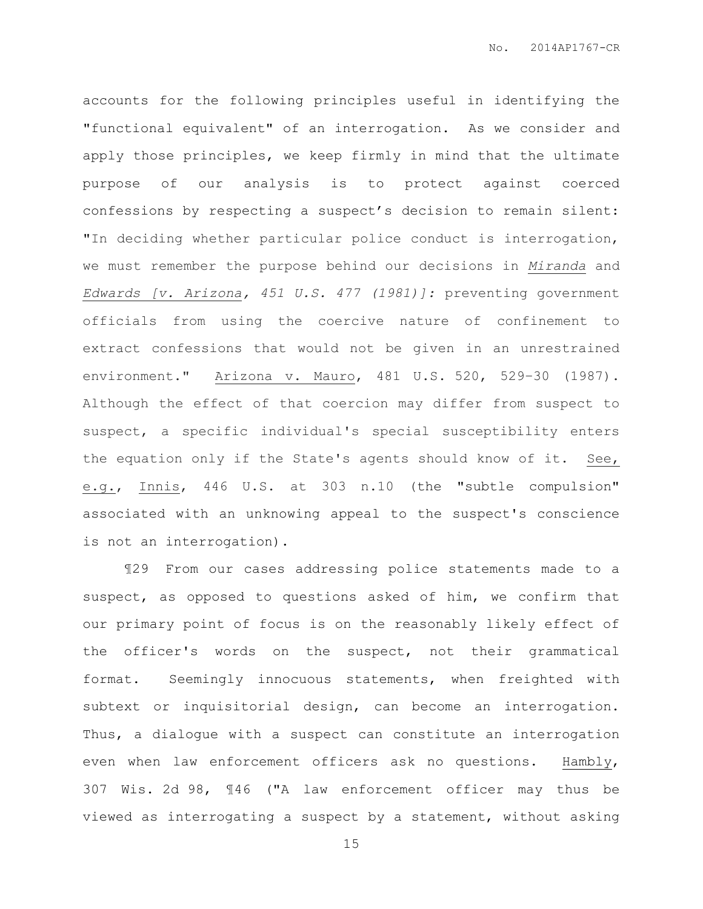accounts for the following principles useful in identifying the "functional equivalent" of an interrogation. As we consider and apply those principles, we keep firmly in mind that the ultimate purpose of our analysis is to protect against coerced confessions by respecting a suspect's decision to remain silent: "In deciding whether particular police conduct is interrogation, we must remember the purpose behind our decisions in *Miranda* and *Edwards [v. Arizona, 451 U.S. 477 (1981)]:* preventing government officials from using the coercive nature of confinement to extract confessions that would not be given in an unrestrained environment." Arizona v. Mauro, 481 U.S. 520, 529–30 (1987). Although the effect of that coercion may differ from suspect to suspect, a specific individual's special susceptibility enters the equation only if the State's agents should know of it. See, e.g., Innis, 446 U.S. at 303 n.10 (the "subtle compulsion" associated with an unknowing appeal to the suspect's conscience is not an interrogation).

¶29 From our cases addressing police statements made to a suspect, as opposed to questions asked of him, we confirm that our primary point of focus is on the reasonably likely effect of the officer's words on the suspect, not their grammatical format. Seemingly innocuous statements, when freighted with subtext or inquisitorial design, can become an interrogation. Thus, a dialogue with a suspect can constitute an interrogation even when law enforcement officers ask no questions. Hambly, 307 Wis. 2d 98, ¶46 ("A law enforcement officer may thus be viewed as interrogating a suspect by a statement, without asking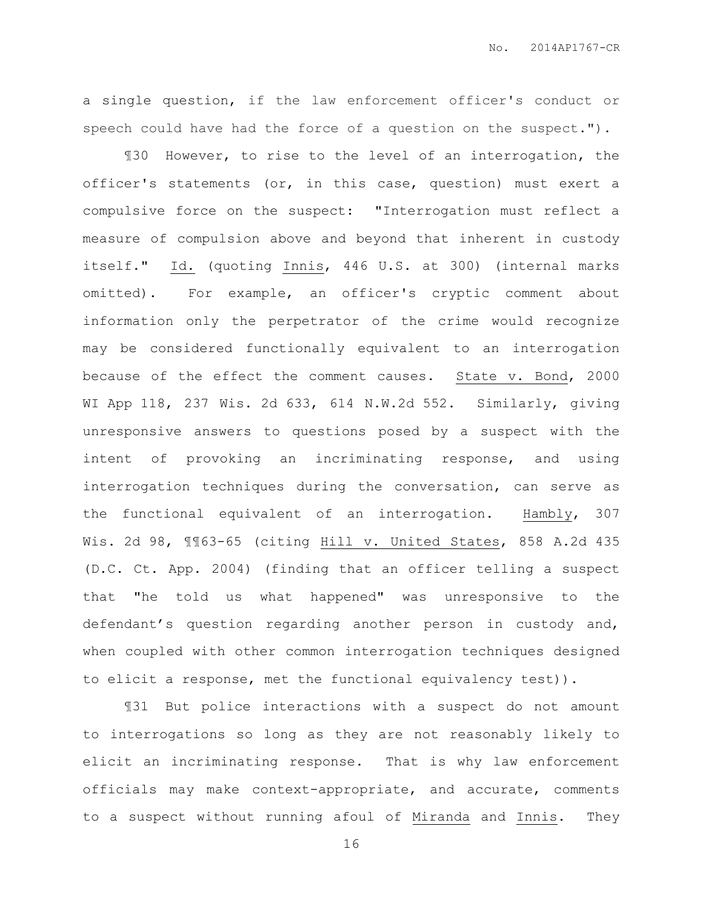a single question, if the law enforcement officer's conduct or speech could have had the force of a question on the suspect.").

¶30 However, to rise to the level of an interrogation, the officer's statements (or, in this case, question) must exert a compulsive force on the suspect: "Interrogation must reflect a measure of compulsion above and beyond that inherent in custody itself." Id. (quoting Innis, 446 U.S. at 300) (internal marks omitted). For example, an officer's cryptic comment about information only the perpetrator of the crime would recognize may be considered functionally equivalent to an interrogation because of the effect the comment causes. State v. Bond, 2000 WI App 118, 237 Wis. 2d 633, 614 N.W.2d 552. Similarly, giving unresponsive answers to questions posed by a suspect with the intent of provoking an incriminating response, and using interrogation techniques during the conversation, can serve as the functional equivalent of an interrogation. Hambly, 307 Wis. 2d 98, ¶¶63-65 (citing Hill v. United States, 858 A.2d 435 (D.C. Ct. App. 2004) (finding that an officer telling a suspect that "he told us what happened" was unresponsive to the defendant's question regarding another person in custody and, when coupled with other common interrogation techniques designed to elicit a response, met the functional equivalency test)).

¶31 But police interactions with a suspect do not amount to interrogations so long as they are not reasonably likely to elicit an incriminating response. That is why law enforcement officials may make context-appropriate, and accurate, comments to a suspect without running afoul of Miranda and Innis. They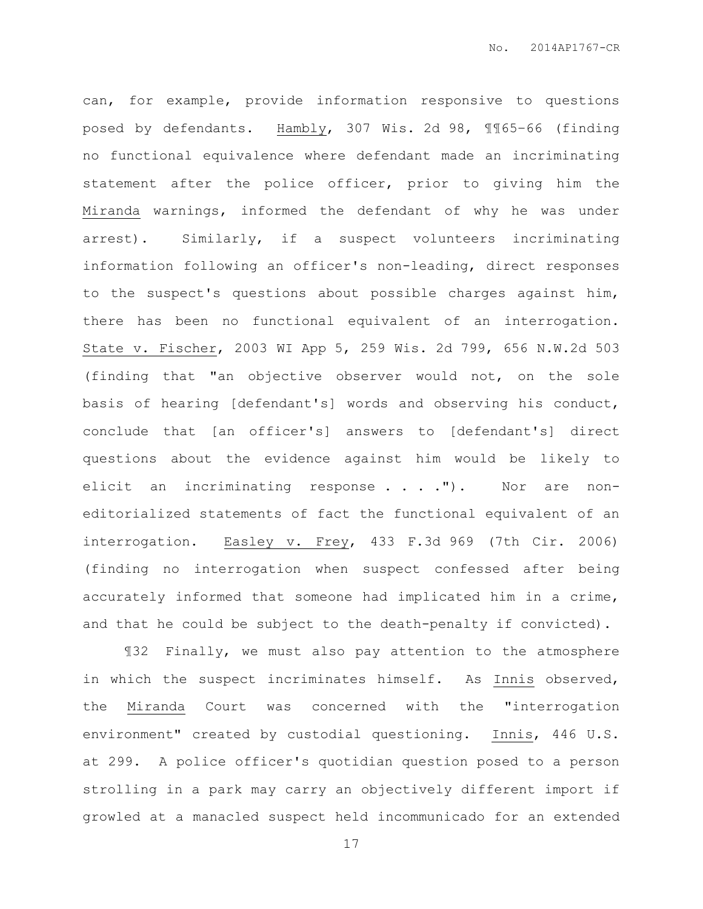can, for example, provide information responsive to questions posed by defendants. Hambly, 307 Wis. 2d 98, ¶¶65–66 (finding no functional equivalence where defendant made an incriminating statement after the police officer, prior to giving him the Miranda warnings, informed the defendant of why he was under arrest). Similarly, if a suspect volunteers incriminating information following an officer's non-leading, direct responses to the suspect's questions about possible charges against him, there has been no functional equivalent of an interrogation. State v. Fischer, 2003 WI App 5, 259 Wis. 2d 799, 656 N.W.2d 503 (finding that "an objective observer would not, on the sole basis of hearing [defendant's] words and observing his conduct, conclude that [an officer's] answers to [defendant's] direct questions about the evidence against him would be likely to elicit an incriminating response . . . . "). Nor are noneditorialized statements of fact the functional equivalent of an interrogation. Easley v. Frey, 433 F.3d 969 (7th Cir. 2006) (finding no interrogation when suspect confessed after being accurately informed that someone had implicated him in a crime, and that he could be subject to the death-penalty if convicted).

¶32 Finally, we must also pay attention to the atmosphere in which the suspect incriminates himself. As Innis observed, the Miranda Court was concerned with the "interrogation environment" created by custodial questioning. Innis, 446 U.S. at 299. A police officer's quotidian question posed to a person strolling in a park may carry an objectively different import if growled at a manacled suspect held incommunicado for an extended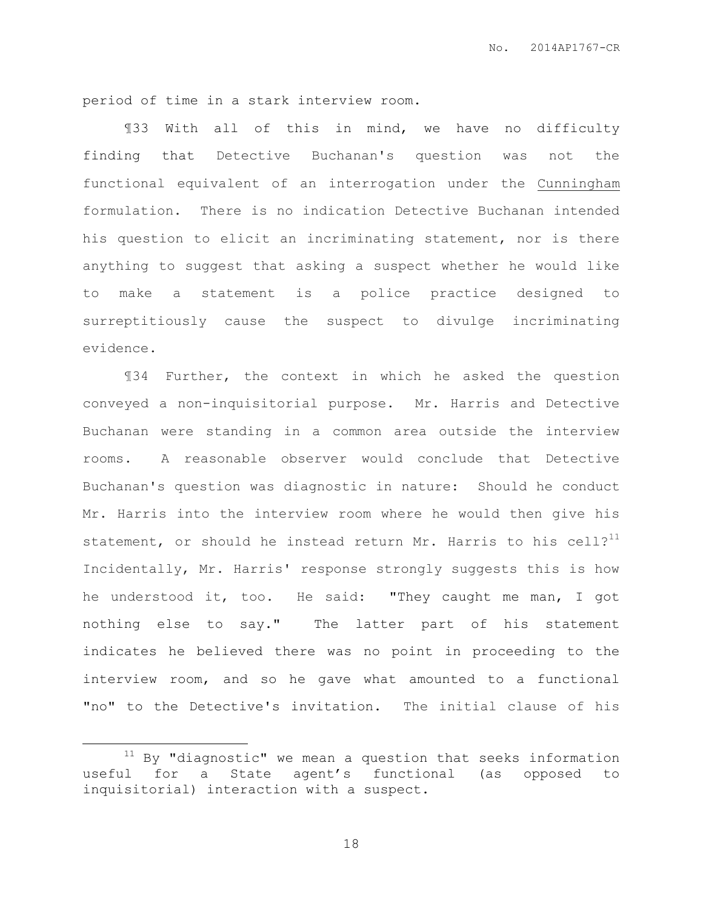period of time in a stark interview room.

¶33 With all of this in mind, we have no difficulty finding that Detective Buchanan's question was not the functional equivalent of an interrogation under the Cunningham formulation. There is no indication Detective Buchanan intended his question to elicit an incriminating statement, nor is there anything to suggest that asking a suspect whether he would like to make a statement is a police practice designed to surreptitiously cause the suspect to divulge incriminating evidence.

¶34 Further, the context in which he asked the question conveyed a non-inquisitorial purpose. Mr. Harris and Detective Buchanan were standing in a common area outside the interview rooms. A reasonable observer would conclude that Detective Buchanan's question was diagnostic in nature: Should he conduct Mr. Harris into the interview room where he would then give his statement, or should he instead return Mr. Harris to his cell? $11$ Incidentally, Mr. Harris' response strongly suggests this is how he understood it, too. He said: "They caught me man, I got nothing else to say." The latter part of his statement indicates he believed there was no point in proceeding to the interview room, and so he gave what amounted to a functional "no" to the Detective's invitation. The initial clause of his

 $\overline{a}$ 

 $11$  By "diagnostic" we mean a question that seeks information useful for a State agent's functional (as opposed to inquisitorial) interaction with a suspect.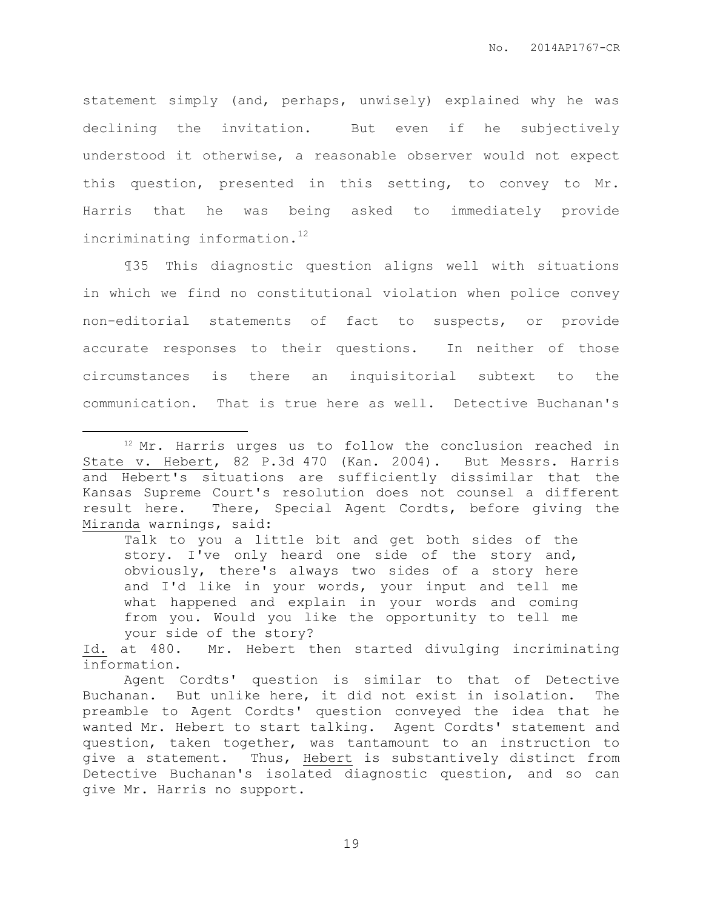statement simply (and, perhaps, unwisely) explained why he was declining the invitation. But even if he subjectively understood it otherwise, a reasonable observer would not expect this question, presented in this setting, to convey to Mr. Harris that he was being asked to immediately provide incriminating information.<sup>12</sup>

¶35 This diagnostic question aligns well with situations in which we find no constitutional violation when police convey non-editorial statements of fact to suspects, or provide accurate responses to their questions. In neither of those circumstances is there an inquisitorial subtext to the communication. That is true here as well. Detective Buchanan's

 $\overline{a}$ 

Talk to you a little bit and get both sides of the story. I've only heard one side of the story and, obviously, there's always two sides of a story here and I'd like in your words, your input and tell me what happened and explain in your words and coming from you. Would you like the opportunity to tell me your side of the story?

Id. at 480. Mr. Hebert then started divulging incriminating information.

 $12$  Mr. Harris urges us to follow the conclusion reached in State v. Hebert, 82 P.3d 470 (Kan. 2004). But Messrs. Harris and Hebert's situations are sufficiently dissimilar that the Kansas Supreme Court's resolution does not counsel a different result here. There, Special Agent Cordts, before giving the Miranda warnings, said:

Agent Cordts' question is similar to that of Detective Buchanan. But unlike here, it did not exist in isolation. The preamble to Agent Cordts' question conveyed the idea that he wanted Mr. Hebert to start talking. Agent Cordts' statement and question, taken together, was tantamount to an instruction to give a statement. Thus, Hebert is substantively distinct from Detective Buchanan's isolated diagnostic question, and so can give Mr. Harris no support.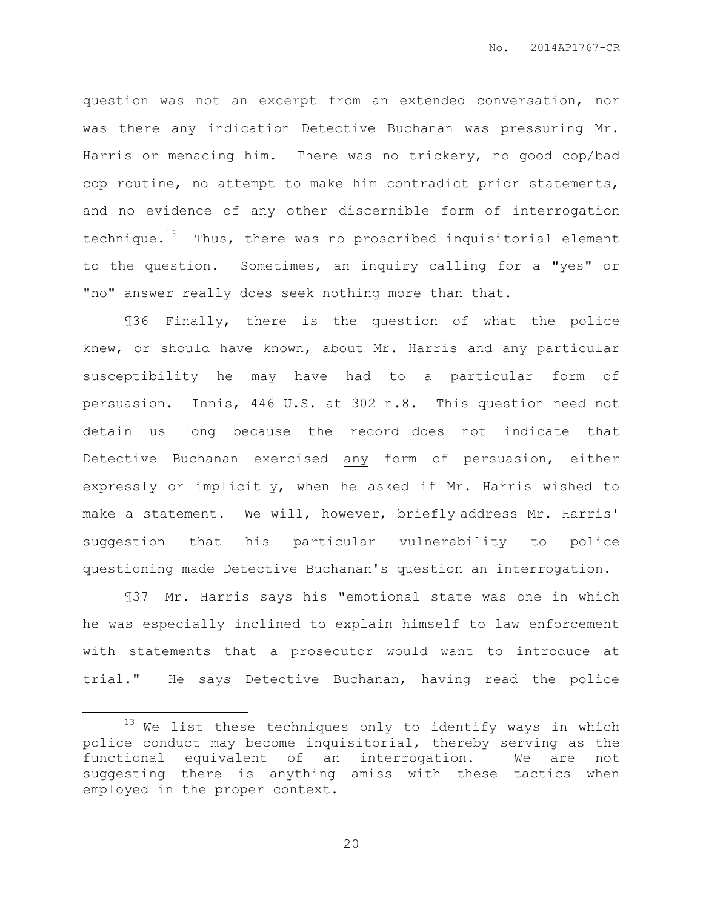question was not an excerpt from an extended conversation, nor was there any indication Detective Buchanan was pressuring Mr. Harris or menacing him. There was no trickery, no good cop/bad cop routine, no attempt to make him contradict prior statements, and no evidence of any other discernible form of interrogation technique. $13$  Thus, there was no proscribed inquisitorial element to the question. Sometimes, an inquiry calling for a "yes" or "no" answer really does seek nothing more than that.

¶36 Finally, there is the question of what the police knew, or should have known, about Mr. Harris and any particular susceptibility he may have had to a particular form of persuasion. Innis, 446 U.S. at 302 n.8. This question need not detain us long because the record does not indicate that Detective Buchanan exercised any form of persuasion, either expressly or implicitly, when he asked if Mr. Harris wished to make a statement. We will, however, briefly address Mr. Harris' suggestion that his particular vulnerability to police questioning made Detective Buchanan's question an interrogation.

¶37 Mr. Harris says his "emotional state was one in which he was especially inclined to explain himself to law enforcement with statements that a prosecutor would want to introduce at trial." He says Detective Buchanan, having read the police

 $\overline{a}$ 

 $13$  We list these techniques only to identify ways in which police conduct may become inquisitorial, thereby serving as the functional equivalent of an interrogation. We are not suggesting there is anything amiss with these tactics when employed in the proper context.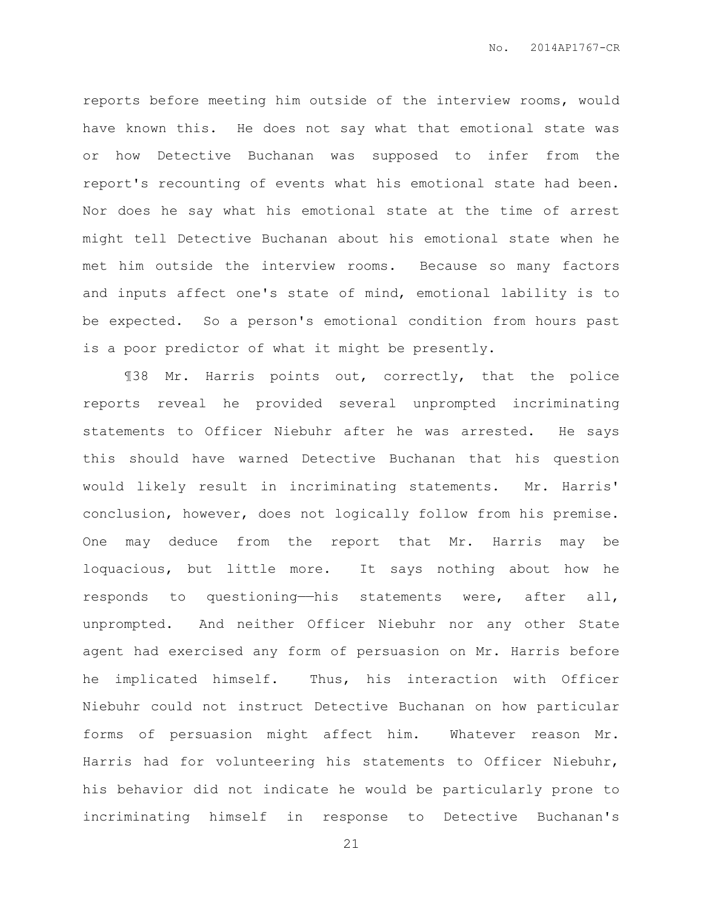reports before meeting him outside of the interview rooms, would have known this. He does not say what that emotional state was or how Detective Buchanan was supposed to infer from the report's recounting of events what his emotional state had been. Nor does he say what his emotional state at the time of arrest might tell Detective Buchanan about his emotional state when he met him outside the interview rooms. Because so many factors and inputs affect one's state of mind, emotional lability is to be expected. So a person's emotional condition from hours past is a poor predictor of what it might be presently.

¶38 Mr. Harris points out, correctly, that the police reports reveal he provided several unprompted incriminating statements to Officer Niebuhr after he was arrested. He says this should have warned Detective Buchanan that his question would likely result in incriminating statements. Mr. Harris' conclusion, however, does not logically follow from his premise. One may deduce from the report that Mr. Harris may be loquacious, but little more. It says nothing about how he responds to questioning—his statements were, after all, unprompted. And neither Officer Niebuhr nor any other State agent had exercised any form of persuasion on Mr. Harris before he implicated himself. Thus, his interaction with Officer Niebuhr could not instruct Detective Buchanan on how particular forms of persuasion might affect him. Whatever reason Mr. Harris had for volunteering his statements to Officer Niebuhr, his behavior did not indicate he would be particularly prone to incriminating himself in response to Detective Buchanan's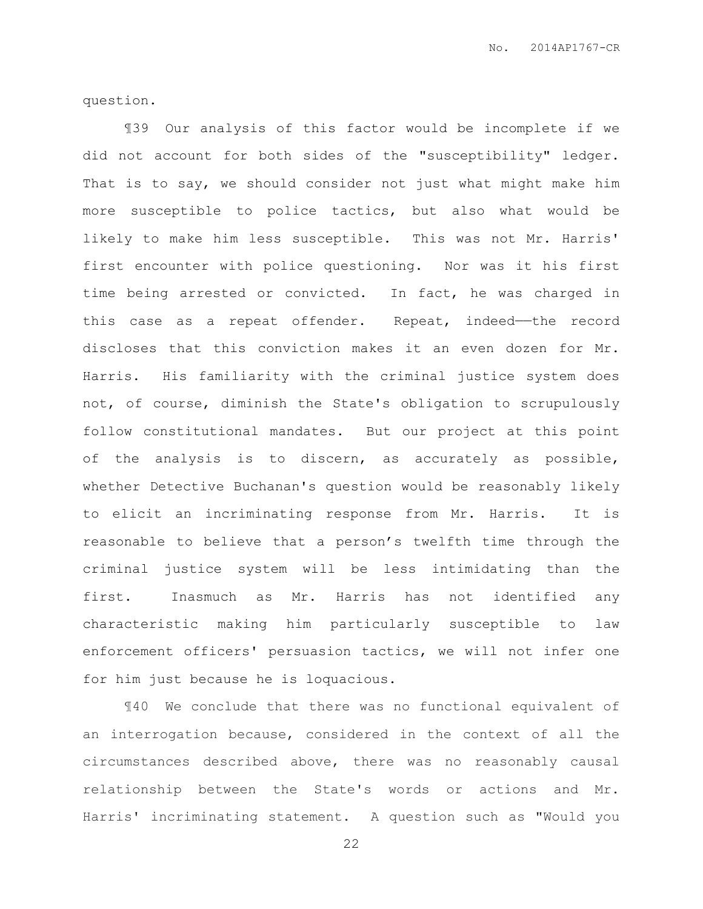question.

¶39 Our analysis of this factor would be incomplete if we did not account for both sides of the "susceptibility" ledger. That is to say, we should consider not just what might make him more susceptible to police tactics, but also what would be likely to make him less susceptible. This was not Mr. Harris' first encounter with police questioning. Nor was it his first time being arrested or convicted. In fact, he was charged in this case as a repeat offender. Repeat, indeed-the record discloses that this conviction makes it an even dozen for Mr. Harris. His familiarity with the criminal justice system does not, of course, diminish the State's obligation to scrupulously follow constitutional mandates. But our project at this point of the analysis is to discern, as accurately as possible, whether Detective Buchanan's question would be reasonably likely to elicit an incriminating response from Mr. Harris. It is reasonable to believe that a person's twelfth time through the criminal justice system will be less intimidating than the first. Inasmuch as Mr. Harris has not identified any characteristic making him particularly susceptible to law enforcement officers' persuasion tactics, we will not infer one for him just because he is loquacious.

¶40 We conclude that there was no functional equivalent of an interrogation because, considered in the context of all the circumstances described above, there was no reasonably causal relationship between the State's words or actions and Mr. Harris' incriminating statement. A question such as "Would you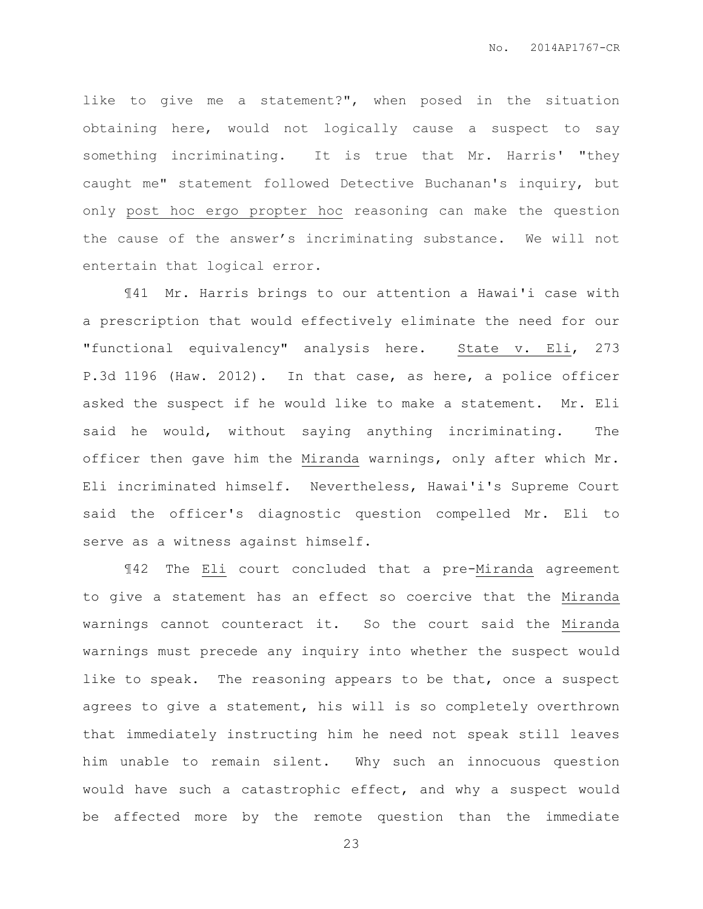like to give me a statement?", when posed in the situation obtaining here, would not logically cause a suspect to say something incriminating. It is true that Mr. Harris' "they caught me" statement followed Detective Buchanan's inquiry, but only post hoc ergo propter hoc reasoning can make the question the cause of the answer's incriminating substance. We will not entertain that logical error.

¶41 Mr. Harris brings to our attention a Hawai'i case with a prescription that would effectively eliminate the need for our "functional equivalency" analysis here. State v. Eli, 273 P.3d 1196 (Haw. 2012). In that case, as here, a police officer asked the suspect if he would like to make a statement. Mr. Eli said he would, without saying anything incriminating. The officer then gave him the Miranda warnings, only after which Mr. Eli incriminated himself. Nevertheless, Hawai'i's Supreme Court said the officer's diagnostic question compelled Mr. Eli to serve as a witness against himself.

¶42 The Eli court concluded that a pre-Miranda agreement to give a statement has an effect so coercive that the Miranda warnings cannot counteract it. So the court said the Miranda warnings must precede any inquiry into whether the suspect would like to speak. The reasoning appears to be that, once a suspect agrees to give a statement, his will is so completely overthrown that immediately instructing him he need not speak still leaves him unable to remain silent. Why such an innocuous question would have such a catastrophic effect, and why a suspect would be affected more by the remote question than the immediate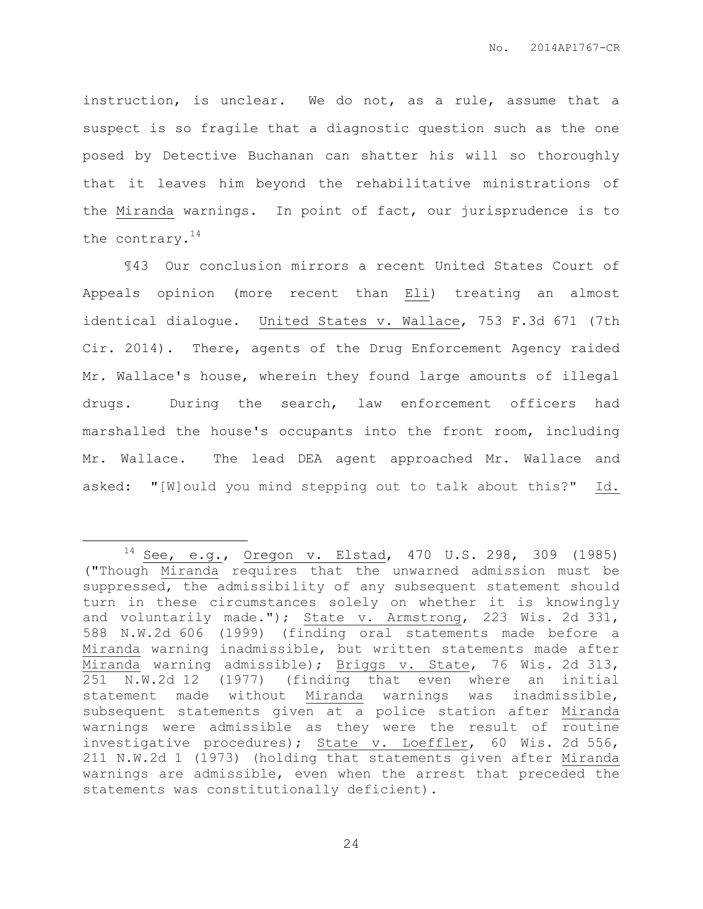instruction, is unclear. We do not, as a rule, assume that a suspect is so fragile that a diagnostic question such as the one posed by Detective Buchanan can shatter his will so thoroughly that it leaves him beyond the rehabilitative ministrations of the Miranda warnings. In point of fact, our jurisprudence is to the contrary.<sup>14</sup>

¶43 Our conclusion mirrors a recent United States Court of Appeals opinion (more recent than Eli) treating an almost identical dialogue. United States v. Wallace, 753 F.3d 671 (7th Cir. 2014). There, agents of the Drug Enforcement Agency raided Mr. Wallace's house, wherein they found large amounts of illegal drugs. During the search, law enforcement officers had marshalled the house's occupants into the front room, including Mr. Wallace. The lead DEA agent approached Mr. Wallace and asked: "[W]ould you mind stepping out to talk about this?" Id.

 $\overline{a}$ 

<sup>14</sup> See, e.g., Oregon v. Elstad, 470 U.S. 298, 309 (1985) ("Though Miranda requires that the unwarned admission must be suppressed, the admissibility of any subsequent statement should turn in these circumstances solely on whether it is knowingly and voluntarily made."); State v. Armstrong, 223 Wis. 2d 331, 588 N.W.2d 606 (1999) (finding oral statements made before a Miranda warning inadmissible, but written statements made after Miranda warning admissible); Briggs v. State, 76 Wis. 2d 313, 251 N.W.2d 12 (1977) (finding that even where an initial statement made without Miranda warnings was inadmissible, subsequent statements given at a police station after Miranda warnings were admissible as they were the result of routine investigative procedures); State v. Loeffler, 60 Wis. 2d 556, 211 N.W.2d 1 (1973) (holding that statements given after Miranda warnings are admissible, even when the arrest that preceded the statements was constitutionally deficient).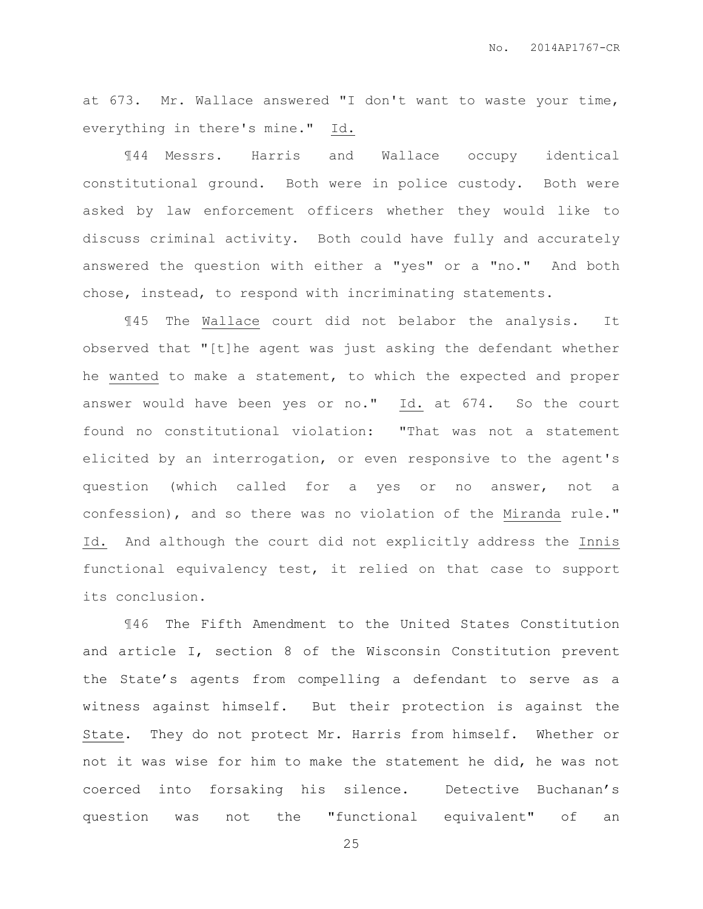at 673. Mr. Wallace answered "I don't want to waste your time, everything in there's mine." Id.

¶44 Messrs. Harris and Wallace occupy identical constitutional ground. Both were in police custody. Both were asked by law enforcement officers whether they would like to discuss criminal activity. Both could have fully and accurately answered the question with either a "yes" or a "no." And both chose, instead, to respond with incriminating statements.

¶45 The Wallace court did not belabor the analysis. It observed that "[t]he agent was just asking the defendant whether he wanted to make a statement, to which the expected and proper answer would have been yes or no." Id. at 674. So the court found no constitutional violation: "That was not a statement elicited by an interrogation, or even responsive to the agent's question (which called for a yes or no answer, not a confession), and so there was no violation of the Miranda rule." Id. And although the court did not explicitly address the Innis functional equivalency test, it relied on that case to support its conclusion.

¶46 The Fifth Amendment to the United States Constitution and article I, section 8 of the Wisconsin Constitution prevent the State's agents from compelling a defendant to serve as a witness against himself. But their protection is against the State. They do not protect Mr. Harris from himself. Whether or not it was wise for him to make the statement he did, he was not coerced into forsaking his silence. Detective Buchanan's question was not the "functional equivalent" of an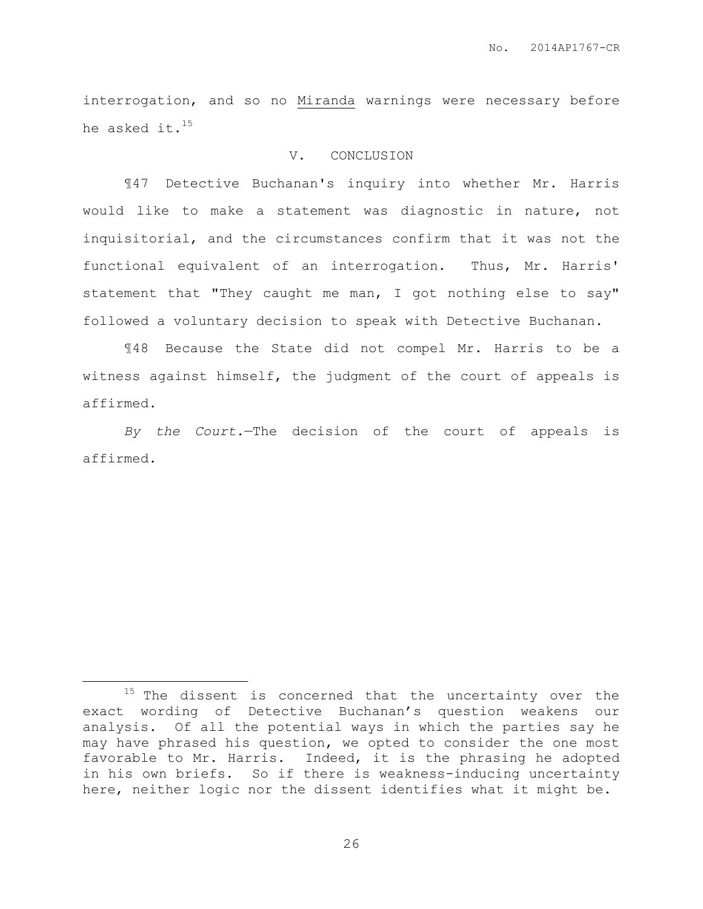interrogation, and so no Miranda warnings were necessary before he asked it.<sup>15</sup>

#### V. CONCLUSION

¶47 Detective Buchanan's inquiry into whether Mr. Harris would like to make a statement was diagnostic in nature, not inquisitorial, and the circumstances confirm that it was not the functional equivalent of an interrogation. Thus, Mr. Harris' statement that "They caught me man, I got nothing else to say" followed a voluntary decision to speak with Detective Buchanan.

¶48 Because the State did not compel Mr. Harris to be a witness against himself, the judgment of the court of appeals is affirmed.

*By the Court.*—The decision of the court of appeals is affirmed.

 $\overline{a}$ 

 $15$  The dissent is concerned that the uncertainty over the exact wording of Detective Buchanan's question weakens our analysis. Of all the potential ways in which the parties say he may have phrased his question, we opted to consider the one most favorable to Mr. Harris. Indeed, it is the phrasing he adopted in his own briefs. So if there is weakness-inducing uncertainty here, neither logic nor the dissent identifies what it might be.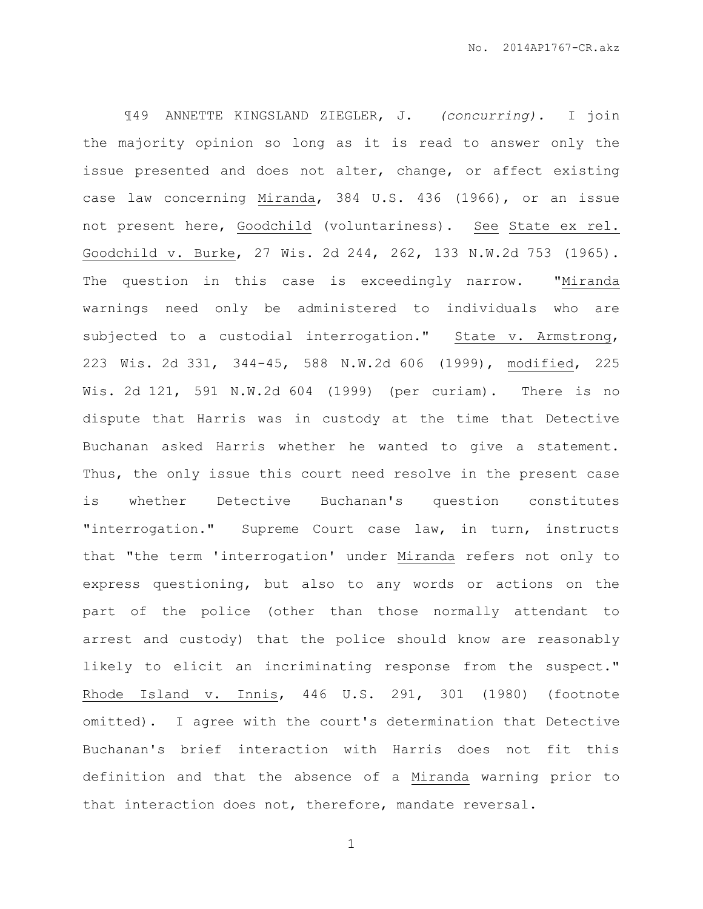¶49 ANNETTE KINGSLAND ZIEGLER, J. *(concurring).* I join the majority opinion so long as it is read to answer only the issue presented and does not alter, change, or affect existing case law concerning Miranda, 384 U.S. 436 (1966), or an issue not present here, Goodchild (voluntariness). See State ex rel. Goodchild v. Burke, 27 Wis. 2d 244, 262, 133 N.W.2d 753 (1965). The question in this case is exceedingly narrow. "Miranda warnings need only be administered to individuals who are subjected to a custodial interrogation." State v. Armstrong, 223 Wis. 2d 331, 344-45, 588 N.W.2d 606 (1999), modified, 225 Wis. 2d 121, 591 N.W.2d 604 (1999) (per curiam). There is no dispute that Harris was in custody at the time that Detective Buchanan asked Harris whether he wanted to give a statement. Thus, the only issue this court need resolve in the present case is whether Detective Buchanan's question constitutes "interrogation." Supreme Court case law, in turn, instructs that "the term 'interrogation' under Miranda refers not only to express questioning, but also to any words or actions on the part of the police (other than those normally attendant to arrest and custody) that the police should know are reasonably likely to elicit an incriminating response from the suspect." Rhode Island v. Innis, 446 U.S. 291, 301 (1980) (footnote omitted). I agree with the court's determination that Detective Buchanan's brief interaction with Harris does not fit this definition and that the absence of a Miranda warning prior to that interaction does not, therefore, mandate reversal.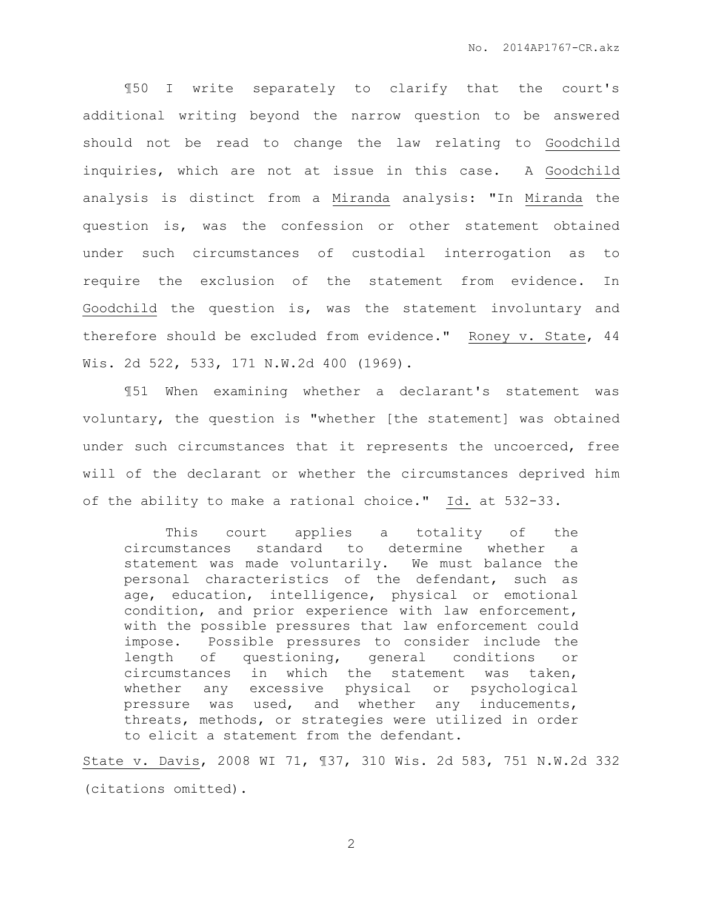¶50 I write separately to clarify that the court's additional writing beyond the narrow question to be answered should not be read to change the law relating to Goodchild inquiries, which are not at issue in this case. A Goodchild analysis is distinct from a Miranda analysis: "In Miranda the question is, was the confession or other statement obtained under such circumstances of custodial interrogation as to require the exclusion of the statement from evidence. In Goodchild the question is, was the statement involuntary and therefore should be excluded from evidence." Roney v. State, 44 Wis. 2d 522, 533, 171 N.W.2d 400 (1969).

¶51 When examining whether a declarant's statement was voluntary, the question is "whether [the statement] was obtained under such circumstances that it represents the uncoerced, free will of the declarant or whether the circumstances deprived him of the ability to make a rational choice." Id. at 532-33.

This court applies a totality of the circumstances standard to determine whether a statement was made voluntarily. We must balance the personal characteristics of the defendant, such as age, education, intelligence, physical or emotional condition, and prior experience with law enforcement, with the possible pressures that law enforcement could impose. Possible pressures to consider include the length of questioning, general conditions or circumstances in which the statement was taken, whether any excessive physical or psychological pressure was used, and whether any inducements, threats, methods, or strategies were utilized in order to elicit a statement from the defendant.

State v. Davis, 2008 WI 71, ¶37, 310 Wis. 2d 583, 751 N.W.2d 332 (citations omitted).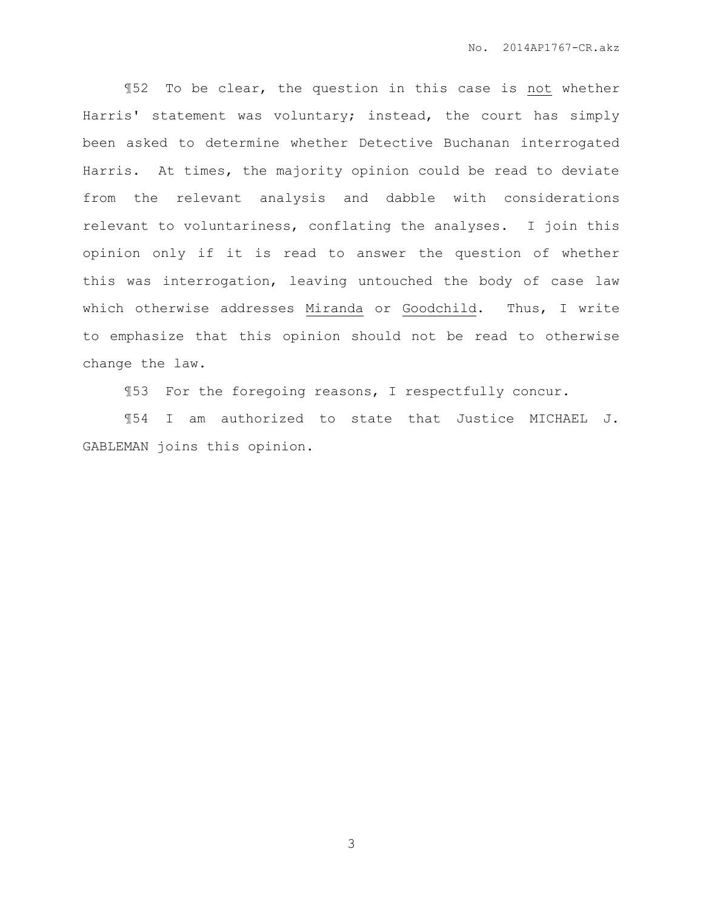¶52 To be clear, the question in this case is not whether Harris' statement was voluntary; instead, the court has simply been asked to determine whether Detective Buchanan interrogated Harris. At times, the majority opinion could be read to deviate from the relevant analysis and dabble with considerations relevant to voluntariness, conflating the analyses. I join this opinion only if it is read to answer the question of whether this was interrogation, leaving untouched the body of case law which otherwise addresses Miranda or Goodchild. Thus, I write to emphasize that this opinion should not be read to otherwise change the law.

¶53 For the foregoing reasons, I respectfully concur.

¶54 I am authorized to state that Justice MICHAEL J. GABLEMAN joins this opinion.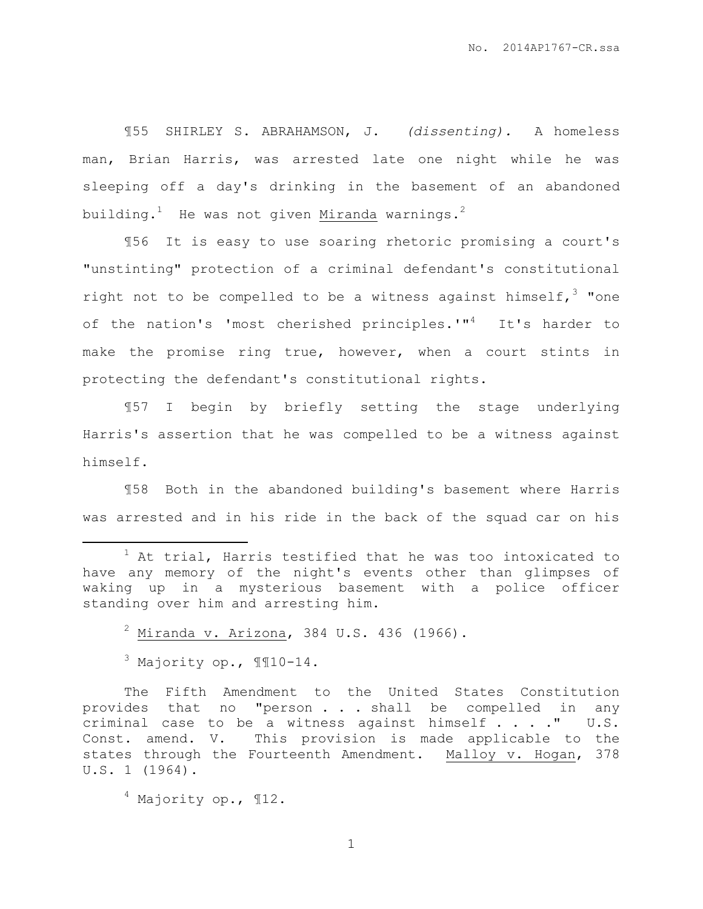¶55 SHIRLEY S. ABRAHAMSON, J. *(dissenting).* A homeless man, Brian Harris, was arrested late one night while he was sleeping off a day's drinking in the basement of an abandoned building.<sup>1</sup> He was not given Miranda warnings**.** 2

¶56 It is easy to use soaring rhetoric promising a court's "unstinting" protection of a criminal defendant's constitutional right not to be compelled to be a witness against himself,  $3$  "one of the nation's 'most cherished principles.'"<sup>4</sup> It's harder to make the promise ring true, however, when a court stints in protecting the defendant's constitutional rights.

¶57 I begin by briefly setting the stage underlying Harris's assertion that he was compelled to be a witness against himself.

¶58 Both in the abandoned building's basement where Harris was arrested and in his ride in the back of the squad car on his

 $2$  Miranda v. Arizona, 384 U.S. 436 (1966).

 $3$  Majority op.,  $\P$  $\P$ 10-14.

 $\overline{a}$ 

The Fifth Amendment to the United States Constitution provides that no "person . . . shall be compelled in any criminal case to be a witness against himself . . . ." U.S. Const. amend. V. This provision is made applicable to the states through the Fourteenth Amendment. Malloy v. Hogan, 378 U.S. 1 (1964).

<sup>4</sup> Majority op., ¶12.

 $1$  At trial, Harris testified that he was too intoxicated to have any memory of the night's events other than glimpses of waking up in a mysterious basement with a police officer standing over him and arresting him.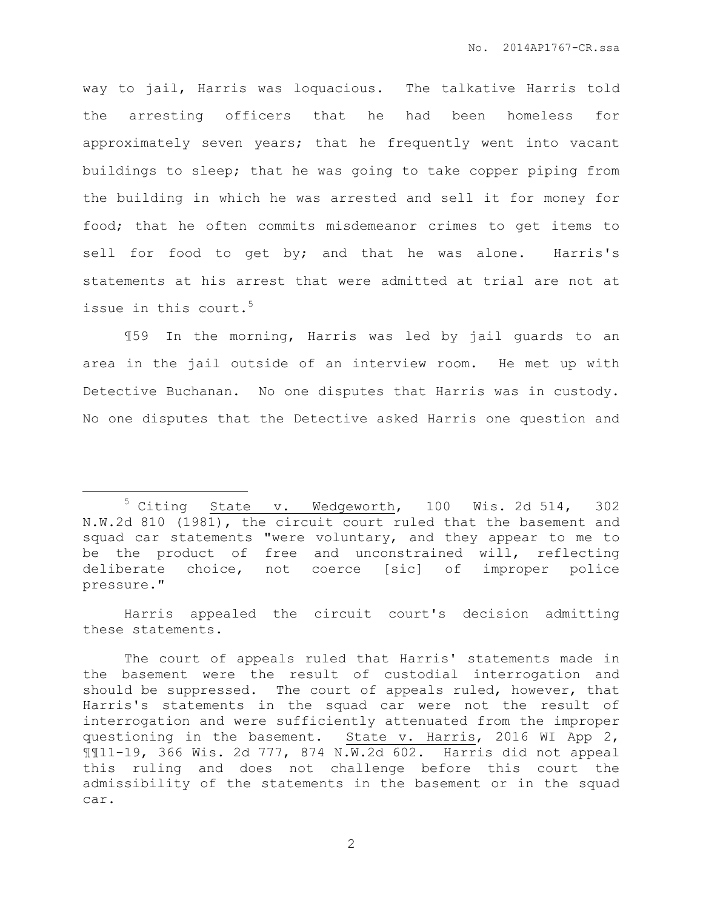way to jail, Harris was loquacious. The talkative Harris told the arresting officers that he had been homeless for approximately seven years; that he frequently went into vacant buildings to sleep; that he was going to take copper piping from the building in which he was arrested and sell it for money for food; that he often commits misdemeanor crimes to get items to sell for food to get by; and that he was alone. Harris's statements at his arrest that were admitted at trial are not at issue in this court.<sup>5</sup>

¶59 In the morning, Harris was led by jail guards to an area in the jail outside of an interview room. He met up with Detective Buchanan. No one disputes that Harris was in custody. No one disputes that the Detective asked Harris one question and

 $\overline{a}$ 

Harris appealed the circuit court's decision admitting these statements.

<sup>5</sup> Citing State v. Wedgeworth, 100 Wis. 2d 514, 302 N.W.2d 810 (1981), the circuit court ruled that the basement and squad car statements "were voluntary, and they appear to me to be the product of free and unconstrained will, reflecting deliberate choice, not coerce [sic] of improper police pressure."

The court of appeals ruled that Harris' statements made in the basement were the result of custodial interrogation and should be suppressed. The court of appeals ruled, however, that Harris's statements in the squad car were not the result of interrogation and were sufficiently attenuated from the improper questioning in the basement. State v. Harris, 2016 WI App 2, ¶¶11-19, 366 Wis. 2d 777, 874 N.W.2d 602. Harris did not appeal this ruling and does not challenge before this court the admissibility of the statements in the basement or in the squad car.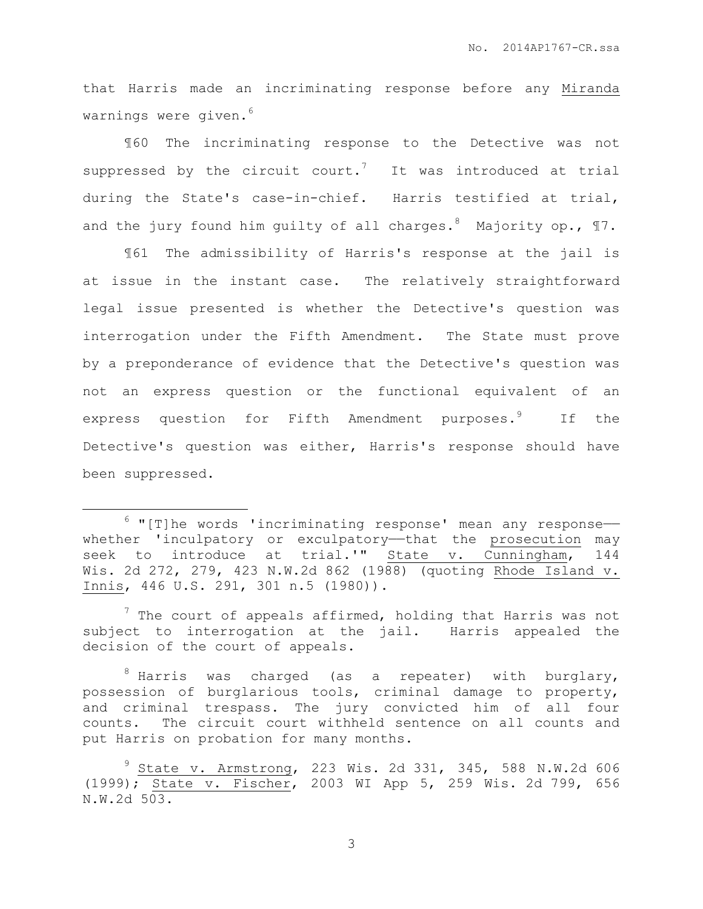that Harris made an incriminating response before any Miranda warnings were given.<sup>6</sup>

¶60 The incriminating response to the Detective was not suppressed by the circuit court.<sup>7</sup> It was introduced at trial during the State's case-in-chief. Harris testified at trial, and the jury found him quilty of all charges.<sup>8</sup> Majority op.,  $\P 7$ .

¶61 The admissibility of Harris's response at the jail is at issue in the instant case. The relatively straightforward legal issue presented is whether the Detective's question was interrogation under the Fifth Amendment. The State must prove by a preponderance of evidence that the Detective's question was not an express question or the functional equivalent of an express question for Fifth Amendment purposes.<sup>9</sup> If the Detective's question was either, Harris's response should have been suppressed.

 $\overline{a}$ 

 $6$  "[T]he words 'incriminating response' mean any responsewhether 'inculpatory or exculpatory-that the prosecution may seek to introduce at trial.'" State v. Cunningham, 144 Wis. 2d 272, 279, 423 N.W.2d 862 (1988) (quoting Rhode Island v. Innis, 446 U.S. 291, 301 n.5 (1980)).

 $\frac{7}{1}$  The court of appeals affirmed, holding that Harris was not subject to interrogation at the jail. Harris appealed the decision of the court of appeals.

 $8$  Harris was charged (as a repeater) with burglary, possession of burglarious tools, criminal damage to property, and criminal trespass. The jury convicted him of all four counts. The circuit court withheld sentence on all counts and put Harris on probation for many months.

<sup>9</sup> State v. Armstrong, 223 Wis. 2d 331, 345, 588 N.W.2d 606 (1999); State v. Fischer, 2003 WI App 5, 259 Wis. 2d 799, 656 N.W.2d 503.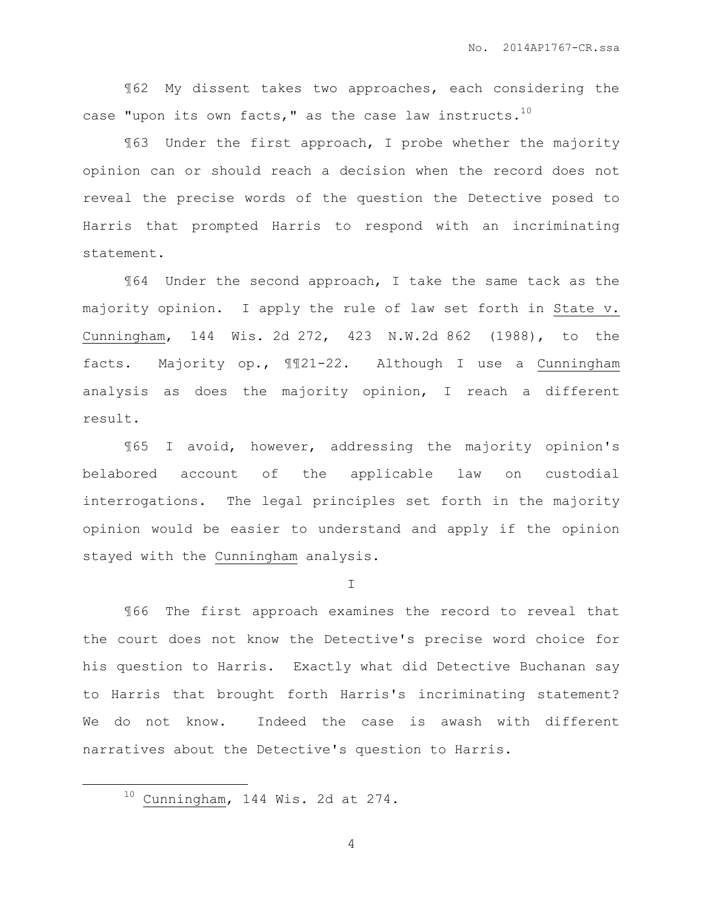¶62 My dissent takes two approaches, each considering the case "upon its own facts," as the case law instructs. $^{10}$ 

¶63 Under the first approach, I probe whether the majority opinion can or should reach a decision when the record does not reveal the precise words of the question the Detective posed to Harris that prompted Harris to respond with an incriminating statement.

¶64 Under the second approach, I take the same tack as the majority opinion. I apply the rule of law set forth in State v. Cunningham, 144 Wis. 2d 272, 423 N.W.2d 862 (1988), to the facts. Majority op., ¶¶21-22. Although I use a Cunningham analysis as does the majority opinion, I reach a different result.

¶65 I avoid, however, addressing the majority opinion's belabored account of the applicable law on custodial interrogations. The legal principles set forth in the majority opinion would be easier to understand and apply if the opinion stayed with the Cunningham analysis.

I

¶66 The first approach examines the record to reveal that the court does not know the Detective's precise word choice for his question to Harris. Exactly what did Detective Buchanan say to Harris that brought forth Harris's incriminating statement? We do not know. Indeed the case is awash with different narratives about the Detective's question to Harris.

 $\overline{a}$ 

 $10$  Cunningham, 144 Wis. 2d at 274.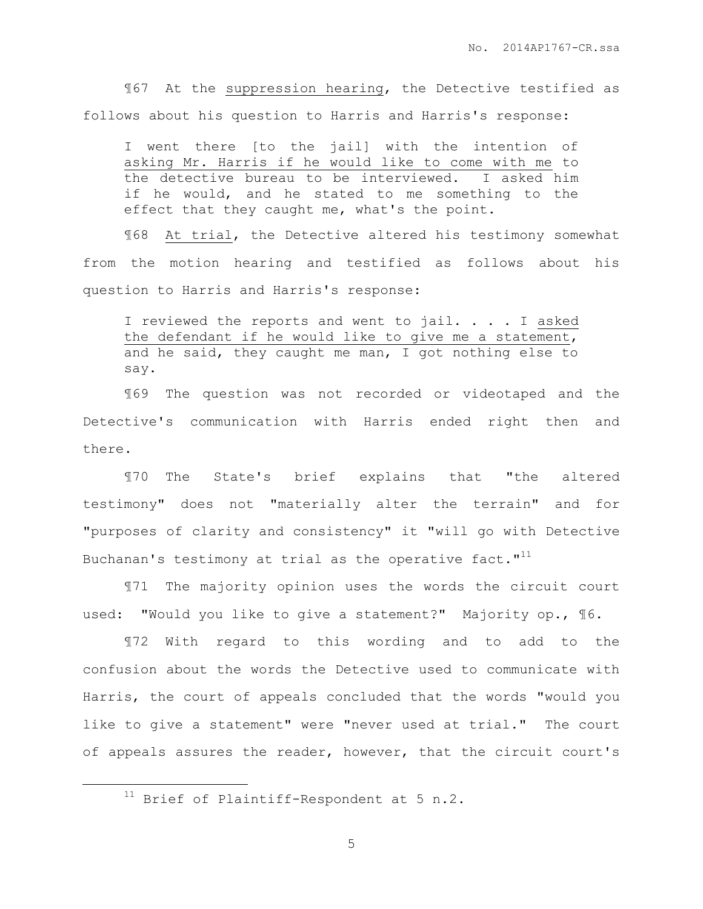¶67 At the suppression hearing, the Detective testified as follows about his question to Harris and Harris's response:

I went there [to the jail] with the intention of asking Mr. Harris if he would like to come with me to the detective bureau to be interviewed. I asked him if he would, and he stated to me something to the effect that they caught me, what's the point.

¶68 At trial, the Detective altered his testimony somewhat from the motion hearing and testified as follows about his question to Harris and Harris's response:

I reviewed the reports and went to jail. . . . I asked the defendant if he would like to give me a statement, and he said, they caught me man, I got nothing else to say.

¶69 The question was not recorded or videotaped and the Detective's communication with Harris ended right then and there.

¶70 The State's brief explains that "the altered testimony" does not "materially alter the terrain" and for "purposes of clarity and consistency" it "will go with Detective Buchanan's testimony at trial as the operative fact." $^{11}$ 

¶71 The majority opinion uses the words the circuit court used: "Would you like to give a statement?" Majority op., ¶6.

¶72 With regard to this wording and to add to the confusion about the words the Detective used to communicate with Harris, the court of appeals concluded that the words "would you like to give a statement" were "never used at trial." The court of appeals assures the reader, however, that the circuit court's

 $\overline{a}$ 

 $11$  Brief of Plaintiff-Respondent at 5 n.2.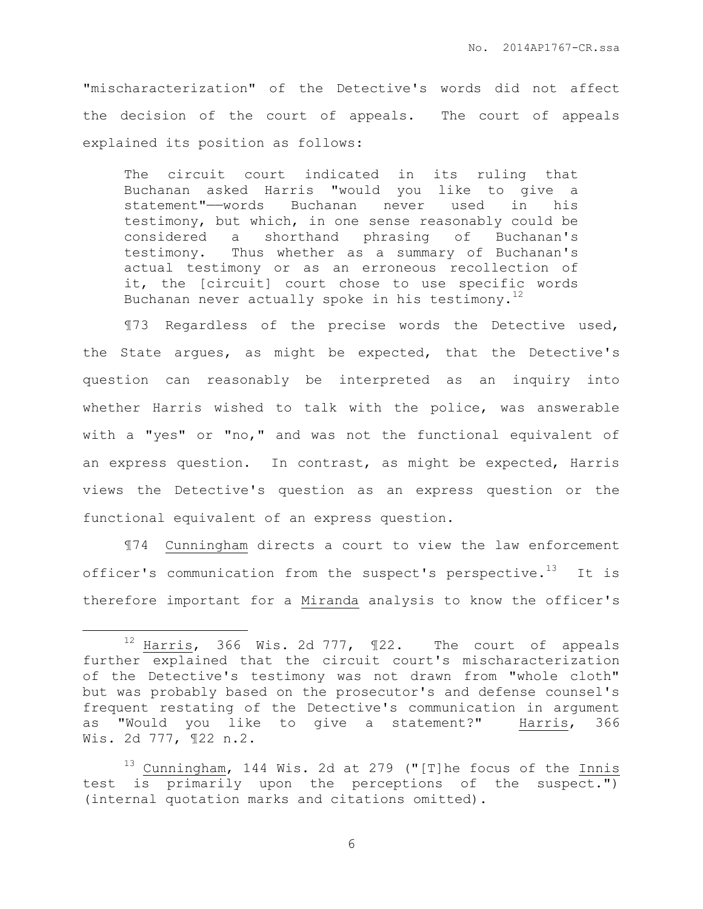"mischaracterization" of the Detective's words did not affect the decision of the court of appeals. The court of appeals explained its position as follows:

The circuit court indicated in its ruling that Buchanan asked Harris "would you like to give a statement"——words Buchanan never used in his testimony, but which, in one sense reasonably could be considered a shorthand phrasing of Buchanan's testimony. Thus whether as a summary of Buchanan's actual testimony or as an erroneous recollection of it, the [circuit] court chose to use specific words Buchanan never actually spoke in his testimony.<sup>12</sup>

¶73 Regardless of the precise words the Detective used, the State argues, as might be expected, that the Detective's question can reasonably be interpreted as an inquiry into whether Harris wished to talk with the police, was answerable with a "yes" or "no," and was not the functional equivalent of an express question. In contrast, as might be expected, Harris views the Detective's question as an express question or the functional equivalent of an express question.

¶74 Cunningham directs a court to view the law enforcement officer's communication from the suspect's perspective.<sup>13</sup> It is therefore important for a Miranda analysis to know the officer's

 $\overline{a}$ 

 $12$  Harris, 366 Wis. 2d 777,  $\text{I}22$ . The court of appeals further explained that the circuit court's mischaracterization of the Detective's testimony was not drawn from "whole cloth" but was probably based on the prosecutor's and defense counsel's frequent restating of the Detective's communication in argument as "Would you like to give a statement?" Harris, 366 Wis. 2d 777, ¶22 n.2.

<sup>13</sup> Cunningham, 144 Wis. 2d at 279 ("[T]he focus of the Innis test is primarily upon the perceptions of the suspect.") (internal quotation marks and citations omitted).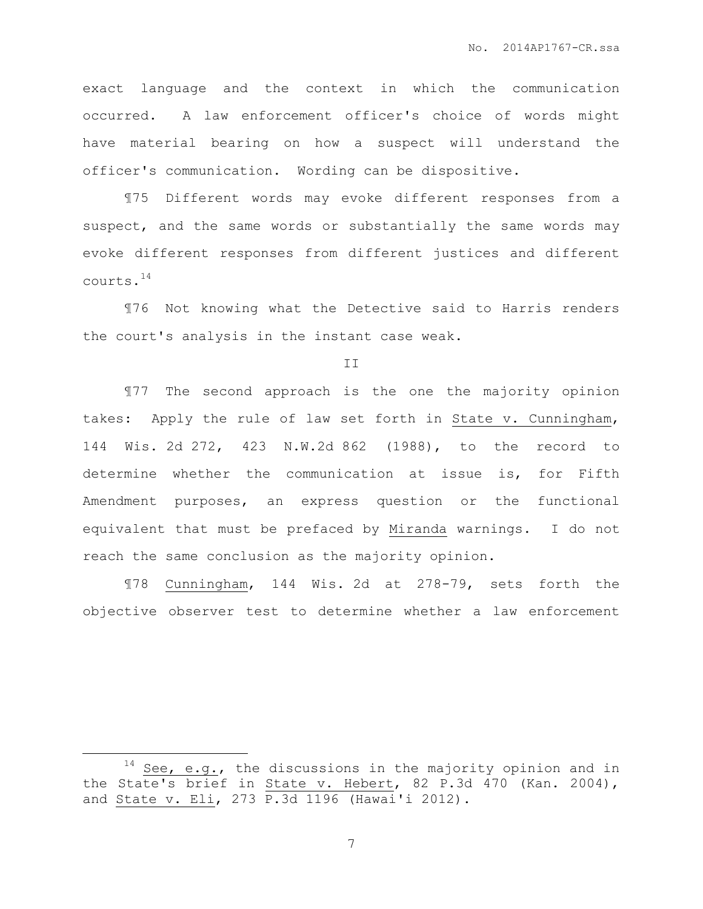exact language and the context in which the communication occurred. A law enforcement officer's choice of words might have material bearing on how a suspect will understand the officer's communication. Wording can be dispositive.

¶75 Different words may evoke different responses from a suspect, and the same words or substantially the same words may evoke different responses from different justices and different courts.<sup>14</sup>

¶76 Not knowing what the Detective said to Harris renders the court's analysis in the instant case weak.

II

¶77 The second approach is the one the majority opinion takes: Apply the rule of law set forth in State v. Cunningham, 144 Wis. 2d 272, 423 N.W.2d 862 (1988), to the record to determine whether the communication at issue is, for Fifth Amendment purposes, an express question or the functional equivalent that must be prefaced by Miranda warnings. I do not reach the same conclusion as the majority opinion.

¶78 Cunningham, 144 Wis. 2d at 278-79, sets forth the objective observer test to determine whether a law enforcement

 $\overline{a}$ 

 $14$  See, e.g., the discussions in the majority opinion and in the State's brief in State v. Hebert, 82 P.3d 470 (Kan. 2004), and State v. Eli, 273 P.3d 1196 (Hawai'i 2012).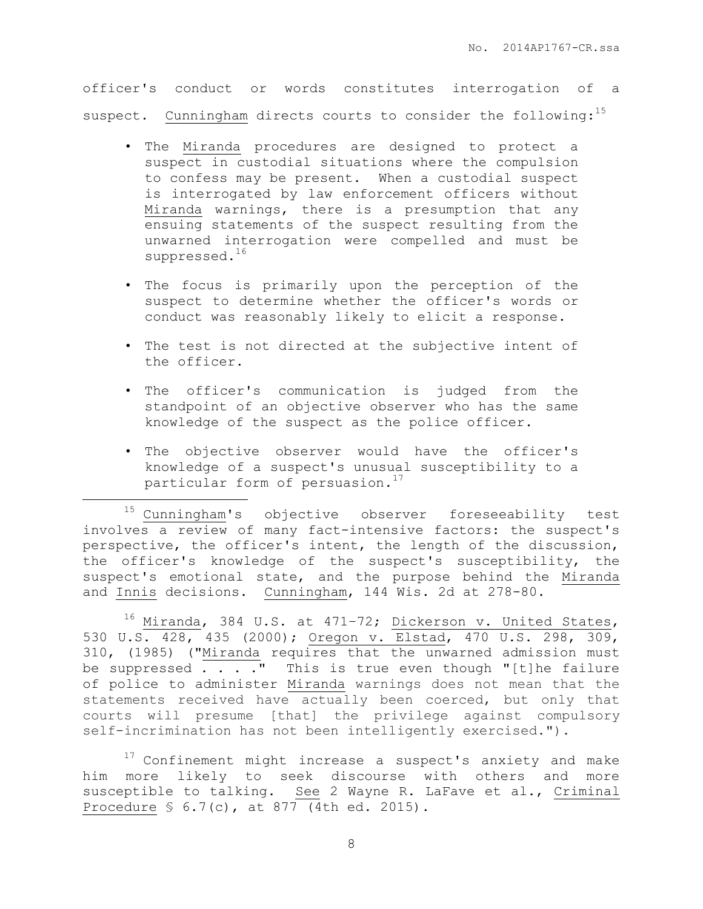officer's conduct or words constitutes interrogation of a suspect. Cunningham directs courts to consider the following: $^{15}$ 

- The Miranda procedures are designed to protect a suspect in custodial situations where the compulsion to confess may be present. When a custodial suspect is interrogated by law enforcement officers without Miranda warnings, there is a presumption that any ensuing statements of the suspect resulting from the unwarned interrogation were compelled and must be suppressed.<sup>16</sup>
- The focus is primarily upon the perception of the suspect to determine whether the officer's words or conduct was reasonably likely to elicit a response.
- The test is not directed at the subjective intent of the officer.
- The officer's communication is judged from the standpoint of an objective observer who has the same knowledge of the suspect as the police officer.
- The objective observer would have the officer's knowledge of a suspect's unusual susceptibility to a particular form of persuasion.<sup>17</sup>

 $\overline{a}$ 

<sup>15</sup> Cunningham's objective observer foreseeability test involves a review of many fact-intensive factors: the suspect's perspective, the officer's intent, the length of the discussion, the officer's knowledge of the suspect's susceptibility, the suspect's emotional state, and the purpose behind the Miranda and Innis decisions. Cunningham, 144 Wis. 2d at 278-80.

 $16$  Miranda, 384 U.S. at 471-72; [Dickerson v. United States,](https://1.next.westlaw.com/Link/Document/FullText?findType=Y&serNum=2000387247&pubNum=708&originatingDoc=I8a97df3dd2b411e0be8fdb5fa26a1033&refType=RP&originationContext=document&transitionType=DocumentItem&contextData=(sc.UserEnteredCitation)) [530 U.S. 428, 435 \(2000\);](https://1.next.westlaw.com/Link/Document/FullText?findType=Y&serNum=2000387247&pubNum=708&originatingDoc=I8a97df3dd2b411e0be8fdb5fa26a1033&refType=RP&originationContext=document&transitionType=DocumentItem&contextData=(sc.UserEnteredCitation)) [Oregon v. Elstad, 470 U.S. 298, 309,](https://1.next.westlaw.com/Link/Document/FullText?findType=Y&serNum=1985110911&pubNum=708&originatingDoc=I8a97df3dd2b411e0be8fdb5fa26a1033&refType=RP&originationContext=document&transitionType=DocumentItem&contextData=(sc.UserEnteredCitation))  [310, \(1985\)](https://1.next.westlaw.com/Link/Document/FullText?findType=Y&serNum=1985110911&pubNum=708&originatingDoc=I8a97df3dd2b411e0be8fdb5fa26a1033&refType=RP&originationContext=document&transitionType=DocumentItem&contextData=(sc.UserEnteredCitation)) (["Miranda](https://1.next.westlaw.com/Link/Document/FullText?findType=Y&serNum=1966131580&originatingDoc=I8a97df3dd2b411e0be8fdb5fa26a1033&refType=RP&originationContext=document&transitionType=DocumentItem&contextData=(sc.UserEnteredCitation)) requires that the unwarned admission must be suppressed  $\ldots$  . . " This is true even though "[t]he failure of police to administer [Miranda](https://1.next.westlaw.com/Link/Document/FullText?findType=Y&serNum=1966131580&originatingDoc=I8a97df3dd2b411e0be8fdb5fa26a1033&refType=RP&originationContext=document&transitionType=DocumentItem&contextData=(sc.UserEnteredCitation)) warnings does not mean that the statements received have actually been coerced, but only that courts will presume [that] the privilege against compulsory self-incrimination has not been intelligently exercised.").

 $17$  Confinement might increase a suspect's anxiety and make him more likely to seek discourse with others and more susceptible to talking. See 2 Wayne R. LaFave et al., Criminal Procedure § 6.7(c), at 877 (4th ed. 2015).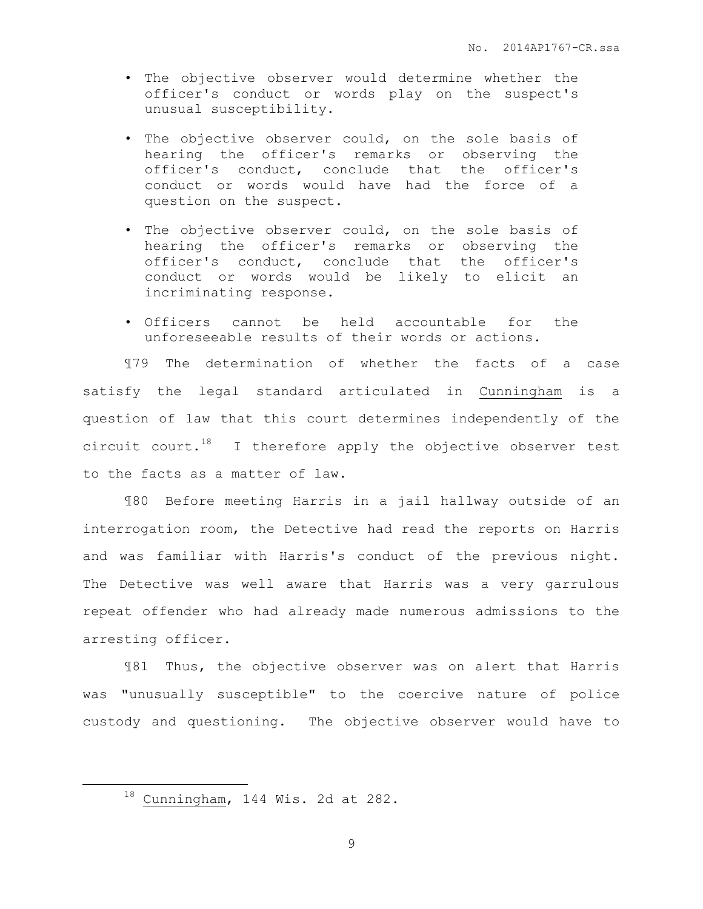- The objective observer would determine whether the officer's conduct or words play on the suspect's unusual susceptibility.
- The objective observer could, on the sole basis of hearing the officer's remarks or observing the officer's conduct, conclude that the officer's conduct or words would have had the force of a question on the suspect.
- The objective observer could, on the sole basis of hearing the officer's remarks or observing the officer's conduct, conclude that the officer's conduct or words would be likely to elicit an incriminating response.
- Officers cannot be held accountable for the unforeseeable results of their words or actions.

¶79 The determination of whether the facts of a case satisfy the legal standard articulated in Cunningham is a question of law that this court determines independently of the circuit court.<sup>18</sup> I therefore apply the objective observer test to the facts as a matter of law.

¶80 Before meeting Harris in a jail hallway outside of an interrogation room, the Detective had read the reports on Harris and was familiar with Harris's conduct of the previous night. The Detective was well aware that Harris was a very garrulous repeat offender who had already made numerous admissions to the arresting officer.

¶81 Thus, the objective observer was on alert that Harris was "unusually susceptible" to the coercive nature of police custody and questioning. The objective observer would have to

 $\overline{a}$ 

 $18$  Cunningham, 144 Wis. 2d at 282.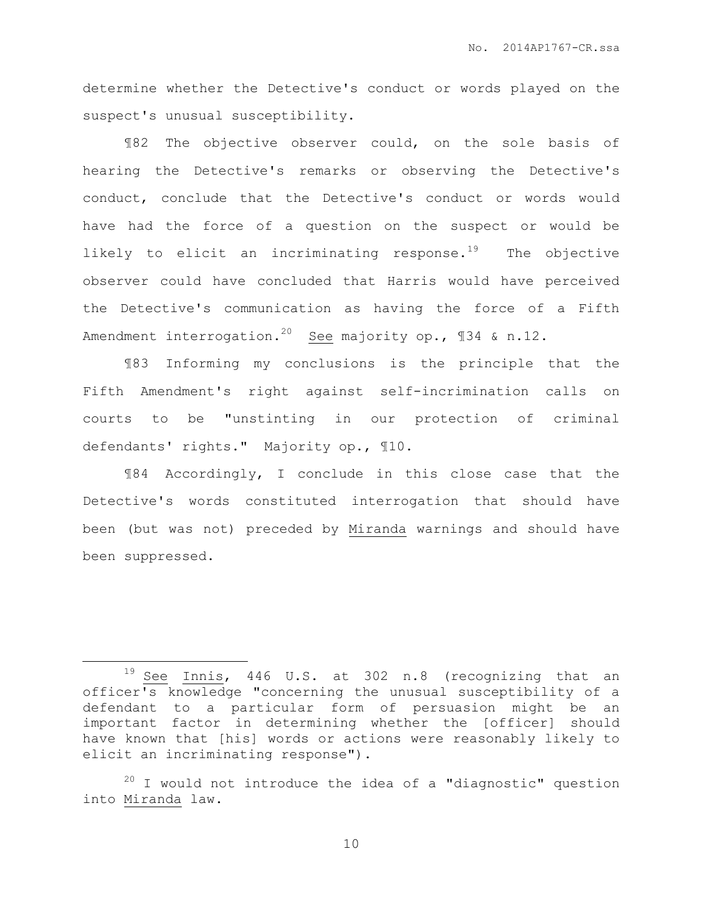determine whether the Detective's conduct or words played on the suspect's unusual susceptibility.

¶82 The objective observer could, on the sole basis of hearing the Detective's remarks or observing the Detective's conduct, conclude that the Detective's conduct or words would have had the force of a question on the suspect or would be likely to elicit an incriminating response.<sup>19</sup> The objective observer could have concluded that Harris would have perceived the Detective's communication as having the force of a Fifth Amendment interrogation.<sup>20</sup> See majority op.,  $$34$  & n.12.

¶83 Informing my conclusions is the principle that the Fifth Amendment's right against self-incrimination calls on courts to be "unstinting in our protection of criminal defendants' rights." Majority op., ¶10.

¶84 Accordingly, I conclude in this close case that the Detective's words constituted interrogation that should have been (but was not) preceded by Miranda warnings and should have been suppressed.

 $\overline{a}$ 

<sup>&</sup>lt;sup>19</sup> See Innis, 446 U.S. at 302 n.8 (recognizing that an officer's knowledge "concerning the unusual susceptibility of a defendant to a particular form of persuasion might be an important factor in determining whether the [officer] should have known that [his] words or actions were reasonably likely to elicit an incriminating response").

 $20$  I would not introduce the idea of a "diagnostic" question into Miranda law.